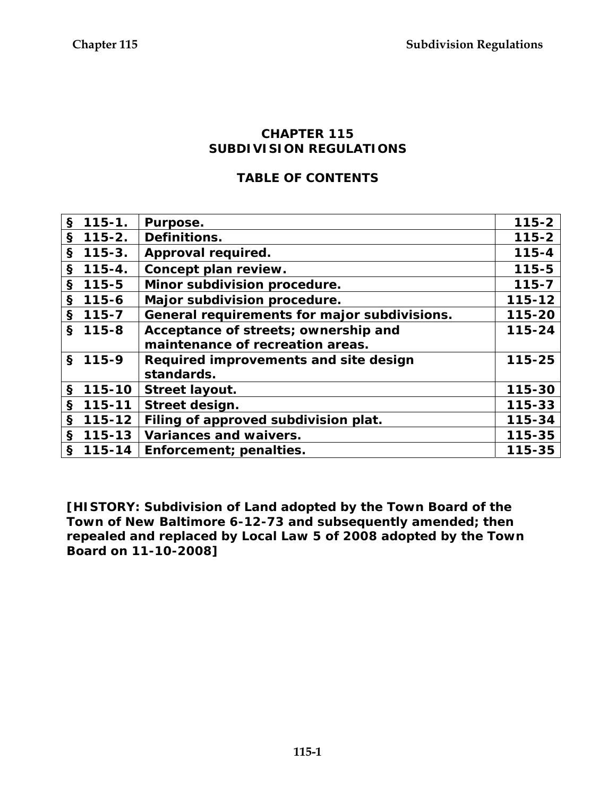#### **CHAPTER 115 SUBDIVISION REGULATIONS**

### **TABLE OF CONTENTS**

| $\mathbf{s}$<br>$115 - 1.$ | Purpose.                                     | $115 - 2$ |
|----------------------------|----------------------------------------------|-----------|
| $\mathbf{s}$<br>$115 - 2.$ | Definitions.                                 | $115 - 2$ |
| $\mathbf{s}$<br>$115 - 3.$ | Approval required.                           | $115 - 4$ |
| $\mathbf{s}$<br>$115 - 4.$ | Concept plan review.                         | $115 - 5$ |
| $115 - 5$<br>§             | Minor subdivision procedure.                 | $115 - 7$ |
| $$115-6$                   | Major subdivision procedure.                 | 115-12    |
| $\mathbf{s}$<br>$115 - 7$  | General requirements for major subdivisions. | 115-20    |
| S.<br>$115 - 8$            | Acceptance of streets; ownership and         | 115-24    |
|                            | maintenance of recreation areas.             |           |
| $$115-9$                   | Required improvements and site design        | 115-25    |
|                            | standards.                                   |           |
| $\mathbf{\S}$<br>115-10    | Street layout.                               | 115-30    |
| $\mathbf{s}$<br>115-11     | Street design.                               | 115-33    |
| $\mathbf{s}$<br>115-12     | Filing of approved subdivision plat.         | 115-34    |
| $115 - 13$<br>$\mathbf{s}$ | Variances and waivers.                       | 115-35    |
| $$115-14$                  | Enforcement; penalties.                      | 115-35    |

**[HISTORY: Subdivision of Land adopted by the Town Board of the Town of New Baltimore 6-12-73 and subsequently amended; then repealed and replaced by Local Law 5 of 2008 adopted by the Town Board on 11-10-2008]**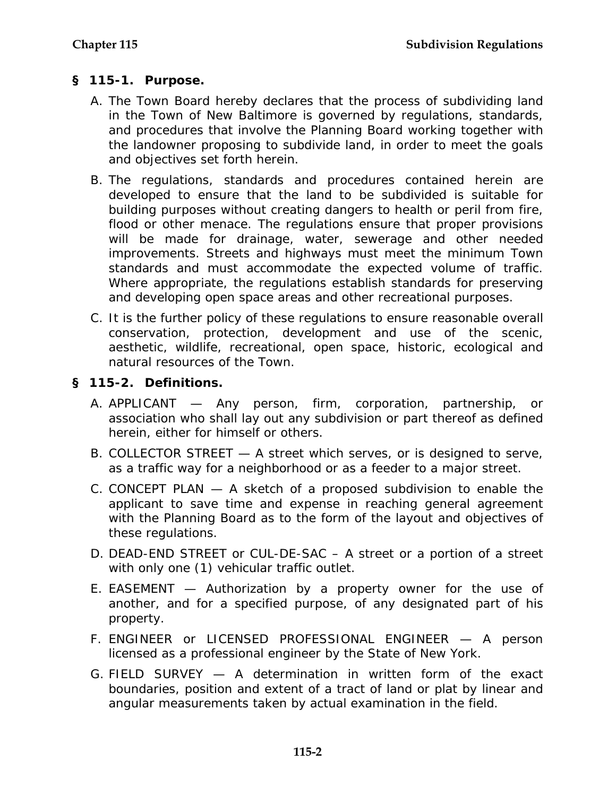## **§ 115-1. Purpose.**

- A. The Town Board hereby declares that the process of subdividing land in the Town of New Baltimore is governed by regulations, standards, and procedures that involve the Planning Board working together with the landowner proposing to subdivide land, in order to meet the goals and objectives set forth herein.
- B. The regulations, standards and procedures contained herein are developed to ensure that the land to be subdivided is suitable for building purposes without creating dangers to health or peril from fire, flood or other menace. The regulations ensure that proper provisions will be made for drainage, water, sewerage and other needed improvements. Streets and highways must meet the minimum Town standards and must accommodate the expected volume of traffic. Where appropriate, the regulations establish standards for preserving and developing open space areas and other recreational purposes.
- C. It is the further policy of these regulations to ensure reasonable overall conservation, protection, development and use of the scenic, aesthetic, wildlife, recreational, open space, historic, ecological and natural resources of the Town.

## **§ 115-2. Definitions.**

- A. APPLICANT Any person, firm, corporation, partnership, or association who shall lay out any subdivision or part thereof as defined herein, either for himself or others.
- B. COLLECTOR STREET A street which serves, or is designed to serve, as a traffic way for a neighborhood or as a feeder to a major street.
- C. CONCEPT PLAN A sketch of a proposed subdivision to enable the applicant to save time and expense in reaching general agreement with the Planning Board as to the form of the layout and objectives of these regulations.
- D. DEAD-END STREET or CUL-DE-SAC A street or a portion of a street with only one (1) vehicular traffic outlet.
- E. EASEMENT Authorization by a property owner for the use of another, and for a specified purpose, of any designated part of his property.
- F. ENGINEER or LICENSED PROFESSIONAL ENGINEER A person licensed as a professional engineer by the State of New York.
- G. FIELD SURVEY A determination in written form of the exact boundaries, position and extent of a tract of land or plat by linear and angular measurements taken by actual examination in the field.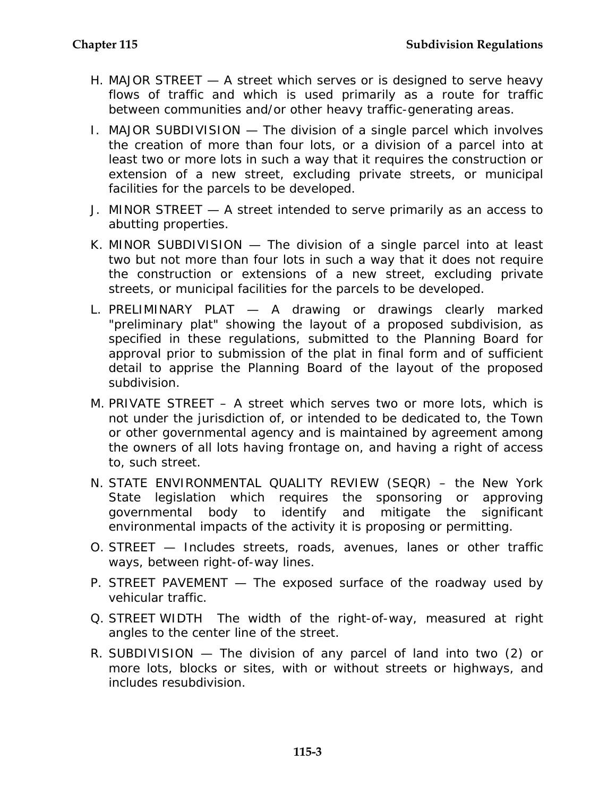- H. MAJOR STREET A street which serves or is designed to serve heavy flows of traffic and which is used primarily as a route for traffic between communities and/or other heavy traffic-generating areas.
- I. MAJOR SUBDIVISION The division of a single parcel which involves the creation of more than four lots, or a division of a parcel into at least two or more lots in such a way that it requires the construction or extension of a new street, excluding private streets, or municipal facilities for the parcels to be developed.
- J. MINOR STREET A street intended to serve primarily as an access to abutting properties.
- K. MINOR SUBDIVISION The division of a single parcel into at least two but not more than four lots in such a way that it does not require the construction or extensions of a new street, excluding private streets, or municipal facilities for the parcels to be developed.
- L. PRELIMINARY PLAT A drawing or drawings clearly marked "preliminary plat" showing the layout of a proposed subdivision, as specified in these regulations, submitted to the Planning Board for approval prior to submission of the plat in final form and of sufficient detail to apprise the Planning Board of the layout of the proposed subdivision.
- M. PRIVATE STREET A street which serves two or more lots, which is not under the jurisdiction of, or intended to be dedicated to, the Town or other governmental agency and is maintained by agreement among the owners of all lots having frontage on, and having a right of access to, such street.
- N. STATE ENVIRONMENTAL QUALITY REVIEW (SEQR) the New York State legislation which requires the sponsoring or approving governmental body to identify and mitigate the significant environmental impacts of the activity it is proposing or permitting.
- O. STREET Includes streets, roads, avenues, lanes or other traffic ways, between right-of-way lines.
- P. STREET PAVEMENT The exposed surface of the roadway used by vehicular traffic.
- Q. STREET WIDTH The width of the right-of-way, measured at right angles to the center line of the street.
- R. SUBDIVISION The division of any parcel of land into two (2) or more lots, blocks or sites, with or without streets or highways, and includes resubdivision.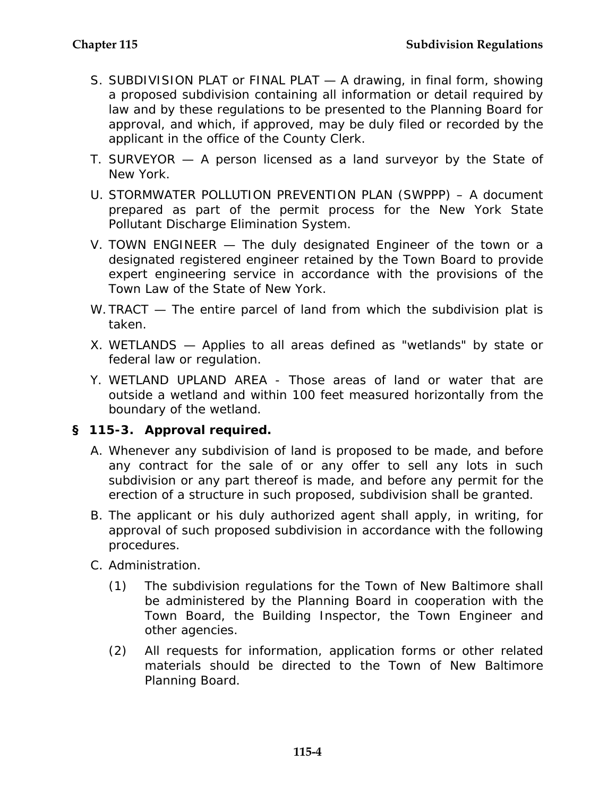- S. SUBDIVISION PLAT or FINAL PLAT A drawing, in final form, showing a proposed subdivision containing all information or detail required by law and by these regulations to be presented to the Planning Board for approval, and which, if approved, may be duly filed or recorded by the applicant in the office of the County Clerk.
- T. SURVEYOR A person licensed as a land surveyor by the State of New York.
- U. STORMWATER POLLUTION PREVENTION PLAN (SWPPP) A document prepared as part of the permit process for the New York State Pollutant Discharge Elimination System.
- V. TOWN ENGINEER The duly designated Engineer of the town or a designated registered engineer retained by the Town Board to provide expert engineering service in accordance with the provisions of the Town Law of the State of New York.
- W. TRACT The entire parcel of land from which the subdivision plat is taken.
- X. WETLANDS Applies to all areas defined as "wetlands" by state or federal law or regulation.
- Y. WETLAND UPLAND AREA Those areas of land or water that are outside a wetland and within 100 feet measured horizontally from the boundary of the wetland.

#### **§ 115-3. Approval required.**

- A. Whenever any subdivision of land is proposed to be made, and before any contract for the sale of or any offer to sell any lots in such subdivision or any part thereof is made, and before any permit for the erection of a structure in such proposed, subdivision shall be granted.
- B. The applicant or his duly authorized agent shall apply, in writing, for approval of such proposed subdivision in accordance with the following procedures.
- C. Administration.
	- (1) The subdivision regulations for the Town of New Baltimore shall be administered by the Planning Board in cooperation with the Town Board, the Building Inspector, the Town Engineer and other agencies.
	- (2) All requests for information, application forms or other related materials should be directed to the Town of New Baltimore Planning Board.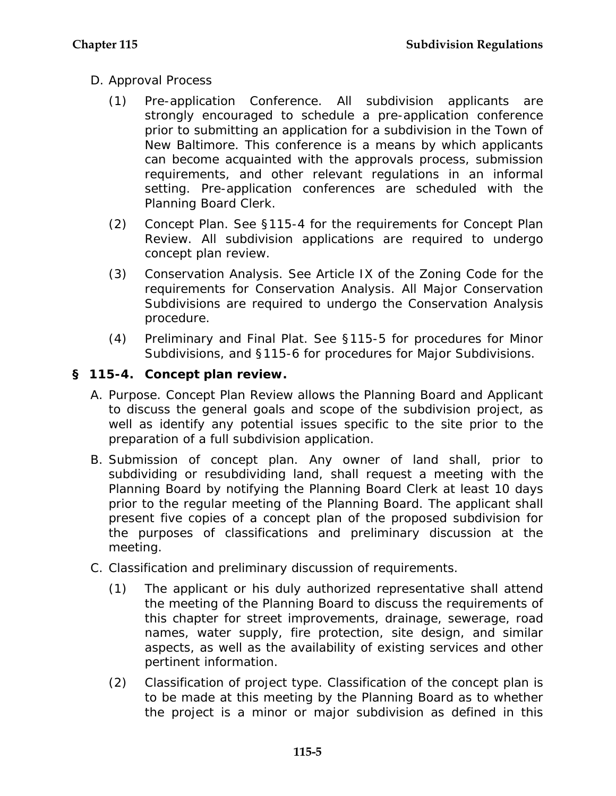- D. Approval Process
	- (1) Pre-application Conference. All subdivision applicants are strongly encouraged to schedule a pre-application conference prior to submitting an application for a subdivision in the Town of New Baltimore. This conference is a means by which applicants can become acquainted with the approvals process, submission requirements, and other relevant regulations in an informal setting. Pre-application conferences are scheduled with the Planning Board Clerk.
	- (2) Concept Plan. See §115-4 for the requirements for Concept Plan Review. All subdivision applications are required to undergo concept plan review.
	- (3) Conservation Analysis. See Article IX of the Zoning Code for the requirements for Conservation Analysis. All Major Conservation Subdivisions are required to undergo the Conservation Analysis procedure.
	- (4) Preliminary and Final Plat. See §115-5 for procedures for Minor Subdivisions, and §115-6 for procedures for Major Subdivisions.

# **§ 115-4. Concept plan review.**

- A. Purpose. Concept Plan Review allows the Planning Board and Applicant to discuss the general goals and scope of the subdivision project, as well as identify any potential issues specific to the site prior to the preparation of a full subdivision application.
- B. Submission of concept plan. Any owner of land shall, prior to subdividing or resubdividing land, shall request a meeting with the Planning Board by notifying the Planning Board Clerk at least 10 days prior to the regular meeting of the Planning Board. The applicant shall present five copies of a concept plan of the proposed subdivision for the purposes of classifications and preliminary discussion at the meeting.
- C. Classification and preliminary discussion of requirements.
	- (1) The applicant or his duly authorized representative shall attend the meeting of the Planning Board to discuss the requirements of this chapter for street improvements, drainage, sewerage, road names, water supply, fire protection, site design, and similar aspects, as well as the availability of existing services and other pertinent information.
	- (2) Classification of project type. Classification of the concept plan is to be made at this meeting by the Planning Board as to whether the project is a minor or major subdivision as defined in this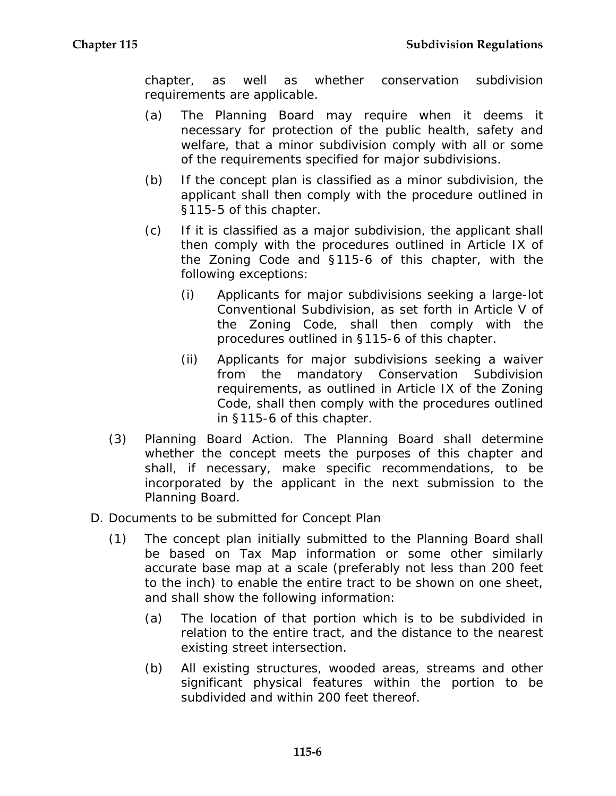chapter, as well as whether conservation subdivision requirements are applicable.

- (a) The Planning Board may require when it deems it necessary for protection of the public health, safety and welfare, that a minor subdivision comply with all or some of the requirements specified for major subdivisions.
- (b) If the concept plan is classified as a minor subdivision, the applicant shall then comply with the procedure outlined in §115-5 of this chapter.
- (c) If it is classified as a major subdivision, the applicant shall then comply with the procedures outlined in Article IX of the Zoning Code and §115-6 of this chapter, with the following exceptions:
	- (i) Applicants for major subdivisions seeking a large-lot Conventional Subdivision, as set forth in Article V of the Zoning Code, shall then comply with the procedures outlined in §115-6 of this chapter.
	- (ii) Applicants for major subdivisions seeking a waiver from the mandatory Conservation Subdivision requirements, as outlined in Article IX of the Zoning Code, shall then comply with the procedures outlined in §115-6 of this chapter.
- (3) Planning Board Action. The Planning Board shall determine whether the concept meets the purposes of this chapter and shall, if necessary, make specific recommendations, to be incorporated by the applicant in the next submission to the Planning Board.
- D. Documents to be submitted for Concept Plan
	- (1) The concept plan initially submitted to the Planning Board shall be based on Tax Map information or some other similarly accurate base map at a scale (preferably not less than 200 feet to the inch) to enable the entire tract to be shown on one sheet, and shall show the following information:
		- (a) The location of that portion which is to be subdivided in relation to the entire tract, and the distance to the nearest existing street intersection.
		- (b) All existing structures, wooded areas, streams and other significant physical features within the portion to be subdivided and within 200 feet thereof.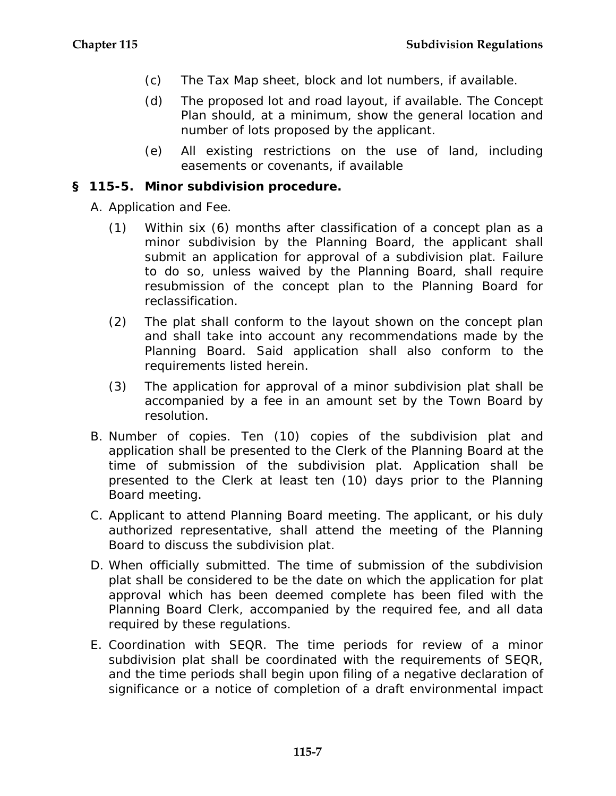- (c) The Tax Map sheet, block and lot numbers, if available.
- (d) The proposed lot and road layout, if available. The Concept Plan should, at a minimum, show the general location and number of lots proposed by the applicant.
- (e) All existing restrictions on the use of land, including easements or covenants, if available

### **§ 115-5. Minor subdivision procedure.**

- A. Application and Fee.
	- (1) Within six (6) months after classification of a concept plan as a minor subdivision by the Planning Board, the applicant shall submit an application for approval of a subdivision plat. Failure to do so, unless waived by the Planning Board, shall require resubmission of the concept plan to the Planning Board for reclassification.
	- (2) The plat shall conform to the layout shown on the concept plan and shall take into account any recommendations made by the Planning Board. Said application shall also conform to the requirements listed herein.
	- (3) The application for approval of a minor subdivision plat shall be accompanied by a fee in an amount set by the Town Board by resolution.
- B. Number of copies. Ten (10) copies of the subdivision plat and application shall be presented to the Clerk of the Planning Board at the time of submission of the subdivision plat. Application shall be presented to the Clerk at least ten (10) days prior to the Planning Board meeting.
- C. Applicant to attend Planning Board meeting. The applicant, or his duly authorized representative, shall attend the meeting of the Planning Board to discuss the subdivision plat.
- D. When officially submitted. The time of submission of the subdivision plat shall be considered to be the date on which the application for plat approval which has been deemed complete has been filed with the Planning Board Clerk, accompanied by the required fee, and all data required by these regulations.
- E. Coordination with SEQR. The time periods for review of a minor subdivision plat shall be coordinated with the requirements of SEQR, and the time periods shall begin upon filing of a negative declaration of significance or a notice of completion of a draft environmental impact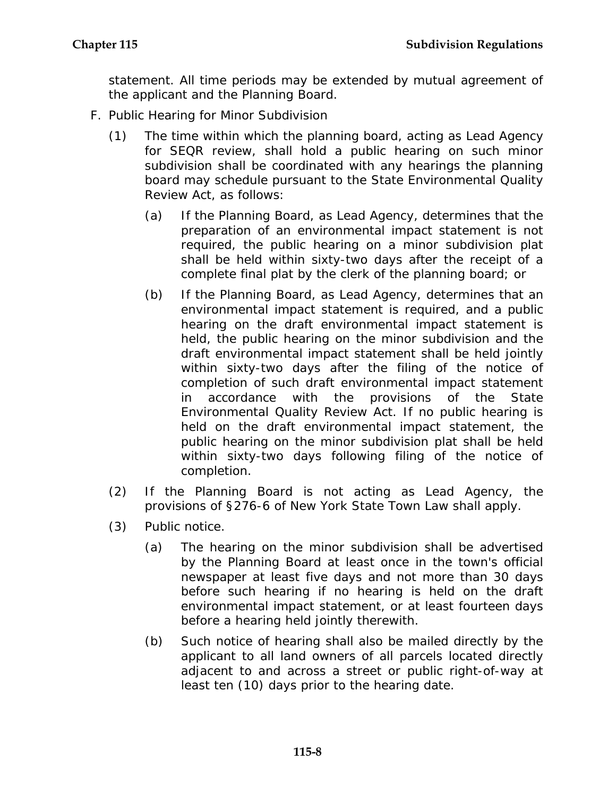statement. All time periods may be extended by mutual agreement of the applicant and the Planning Board.

- F. Public Hearing for Minor Subdivision
	- (1) The time within which the planning board, acting as Lead Agency for SEQR review, shall hold a public hearing on such minor subdivision shall be coordinated with any hearings the planning board may schedule pursuant to the State Environmental Quality Review Act, as follows:
		- (a) If the Planning Board, as Lead Agency, determines that the preparation of an environmental impact statement is not required, the public hearing on a minor subdivision plat shall be held within sixty-two days after the receipt of a complete final plat by the clerk of the planning board; or
		- (b) If the Planning Board, as Lead Agency, determines that an environmental impact statement is required, and a public hearing on the draft environmental impact statement is held, the public hearing on the minor subdivision and the draft environmental impact statement shall be held jointly within sixty-two days after the filing of the notice of completion of such draft environmental impact statement in accordance with the provisions of the State Environmental Quality Review Act. If no public hearing is held on the draft environmental impact statement, the public hearing on the minor subdivision plat shall be held within sixty-two days following filing of the notice of completion.
	- (2) If the Planning Board is not acting as Lead Agency, the provisions of §276-6 of New York State Town Law shall apply.
	- (3) Public notice.
		- (a) The hearing on the minor subdivision shall be advertised by the Planning Board at least once in the town's official newspaper at least five days and not more than 30 days before such hearing if no hearing is held on the draft environmental impact statement, or at least fourteen days before a hearing held jointly therewith.
		- (b) Such notice of hearing shall also be mailed directly by the applicant to all land owners of all parcels located directly adjacent to and across a street or public right-of-way at least ten (10) days prior to the hearing date.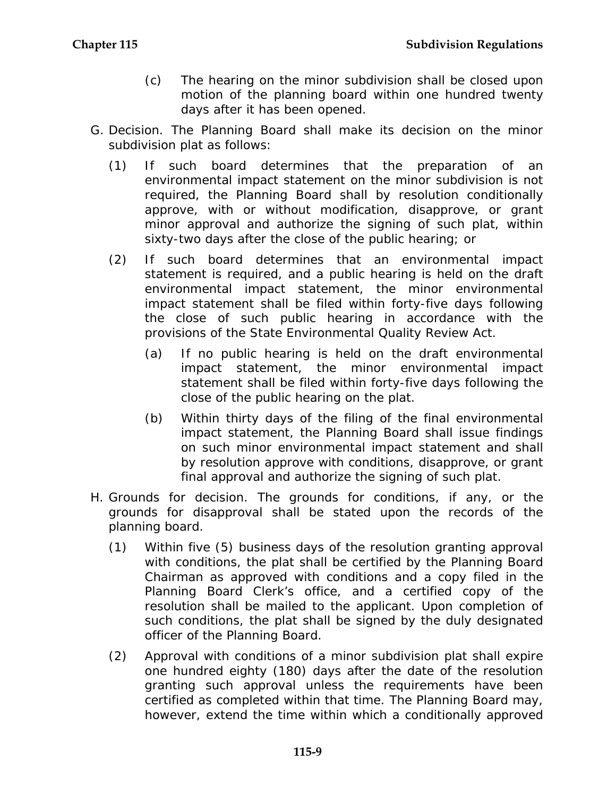- (c) The hearing on the minor subdivision shall be closed upon motion of the planning board within one hundred twenty days after it has been opened.
- G. Decision. The Planning Board shall make its decision on the minor subdivision plat as follows:
	- (1) If such board determines that the preparation of an environmental impact statement on the minor subdivision is not required, the Planning Board shall by resolution conditionally approve, with or without modification, disapprove, or grant minor approval and authorize the signing of such plat, within sixty-two days after the close of the public hearing; or
	- (2) If such board determines that an environmental impact statement is required, and a public hearing is held on the draft environmental impact statement, the minor environmental impact statement shall be filed within forty-five days following the close of such public hearing in accordance with the provisions of the State Environmental Quality Review Act.
		- (a) If no public hearing is held on the draft environmental impact statement, the minor environmental impact statement shall be filed within forty-five days following the close of the public hearing on the plat.
		- (b) Within thirty days of the filing of the final environmental impact statement, the Planning Board shall issue findings on such minor environmental impact statement and shall by resolution approve with conditions, disapprove, or grant final approval and authorize the signing of such plat.
- H. Grounds for decision. The grounds for conditions, if any, or the grounds for disapproval shall be stated upon the records of the planning board.
	- (1) Within five (5) business days of the resolution granting approval with conditions, the plat shall be certified by the Planning Board Chairman as approved with conditions and a copy filed in the Planning Board Clerk's office, and a certified copy of the resolution shall be mailed to the applicant. Upon completion of such conditions, the plat shall be signed by the duly designated officer of the Planning Board.
	- (2) Approval with conditions of a minor subdivision plat shall expire one hundred eighty (180) days after the date of the resolution granting such approval unless the requirements have been certified as completed within that time. The Planning Board may, however, extend the time within which a conditionally approved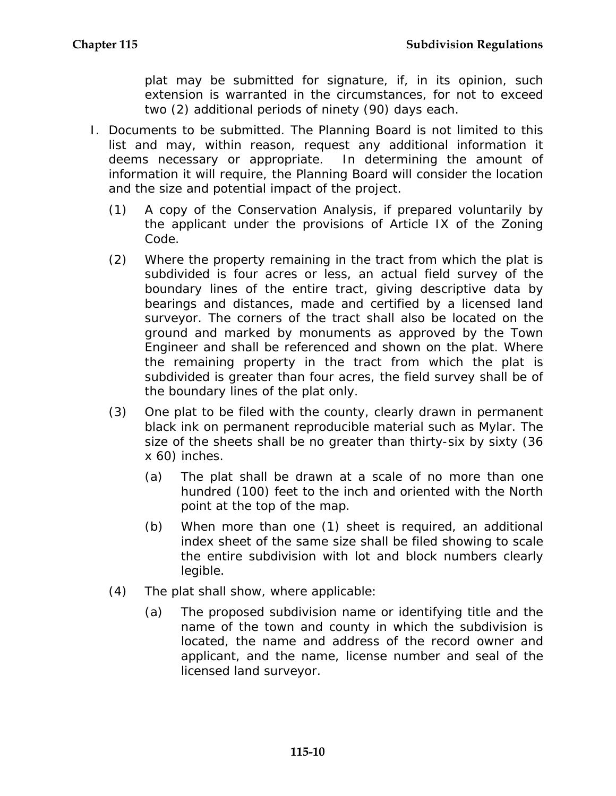plat may be submitted for signature, if, in its opinion, such extension is warranted in the circumstances, for not to exceed two (2) additional periods of ninety (90) days each.

- I. Documents to be submitted. The Planning Board is not limited to this list and may, within reason, request any additional information it deems necessary or appropriate. In determining the amount of information it will require, the Planning Board will consider the location and the size and potential impact of the project.
	- (1) A copy of the Conservation Analysis, if prepared voluntarily by the applicant under the provisions of Article IX of the Zoning Code.
	- (2) Where the property remaining in the tract from which the plat is subdivided is four acres or less, an actual field survey of the boundary lines of the entire tract, giving descriptive data by bearings and distances, made and certified by a licensed land surveyor. The corners of the tract shall also be located on the ground and marked by monuments as approved by the Town Engineer and shall be referenced and shown on the plat. Where the remaining property in the tract from which the plat is subdivided is greater than four acres, the field survey shall be of the boundary lines of the plat only.
	- (3) One plat to be filed with the county, clearly drawn in permanent black ink on permanent reproducible material such as Mylar. The size of the sheets shall be no greater than thirty-six by sixty (36 x 60) inches.
		- (a) The plat shall be drawn at a scale of no more than one hundred (100) feet to the inch and oriented with the North point at the top of the map.
		- (b) When more than one (1) sheet is required, an additional index sheet of the same size shall be filed showing to scale the entire subdivision with lot and block numbers clearly legible.
	- (4) The plat shall show, where applicable:
		- (a) The proposed subdivision name or identifying title and the name of the town and county in which the subdivision is located, the name and address of the record owner and applicant, and the name, license number and seal of the licensed land surveyor.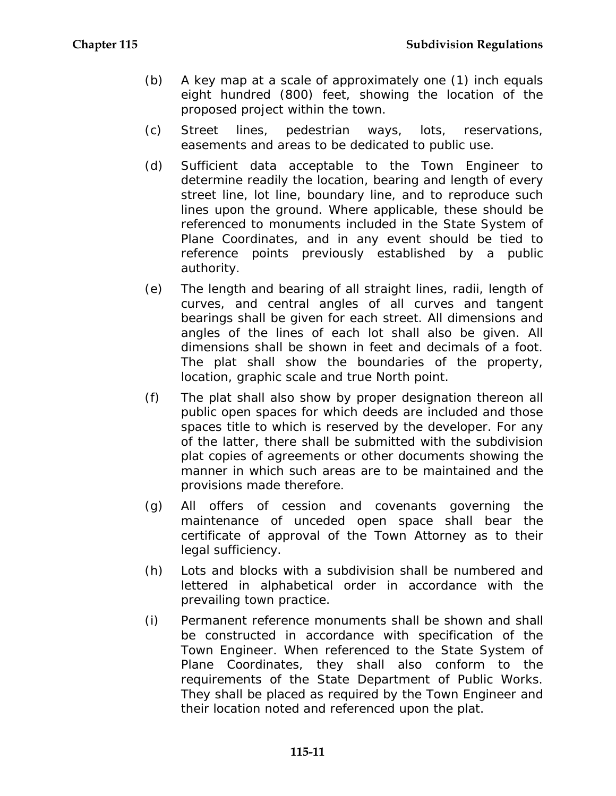- (b) A key map at a scale of approximately one (1) inch equals eight hundred (800) feet, showing the location of the proposed project within the town.
- (c) Street lines, pedestrian ways, lots, reservations, easements and areas to be dedicated to public use.
- (d) Sufficient data acceptable to the Town Engineer to determine readily the location, bearing and length of every street line, lot line, boundary line, and to reproduce such lines upon the ground. Where applicable, these should be referenced to monuments included in the State System of Plane Coordinates, and in any event should be tied to reference points previously established by a public authority.
- (e) The length and bearing of all straight lines, radii, length of curves, and central angles of all curves and tangent bearings shall be given for each street. All dimensions and angles of the lines of each lot shall also be given. All dimensions shall be shown in feet and decimals of a foot. The plat shall show the boundaries of the property, location, graphic scale and true North point.
- (f) The plat shall also show by proper designation thereon all public open spaces for which deeds are included and those spaces title to which is reserved by the developer. For any of the latter, there shall be submitted with the subdivision plat copies of agreements or other documents showing the manner in which such areas are to be maintained and the provisions made therefore.
- (g) All offers of cession and covenants governing the maintenance of unceded open space shall bear the certificate of approval of the Town Attorney as to their legal sufficiency.
- (h) Lots and blocks with a subdivision shall be numbered and lettered in alphabetical order in accordance with the prevailing town practice.
- (i) Permanent reference monuments shall be shown and shall be constructed in accordance with specification of the Town Engineer. When referenced to the State System of Plane Coordinates, they shall also conform to the requirements of the State Department of Public Works. They shall be placed as required by the Town Engineer and their location noted and referenced upon the plat.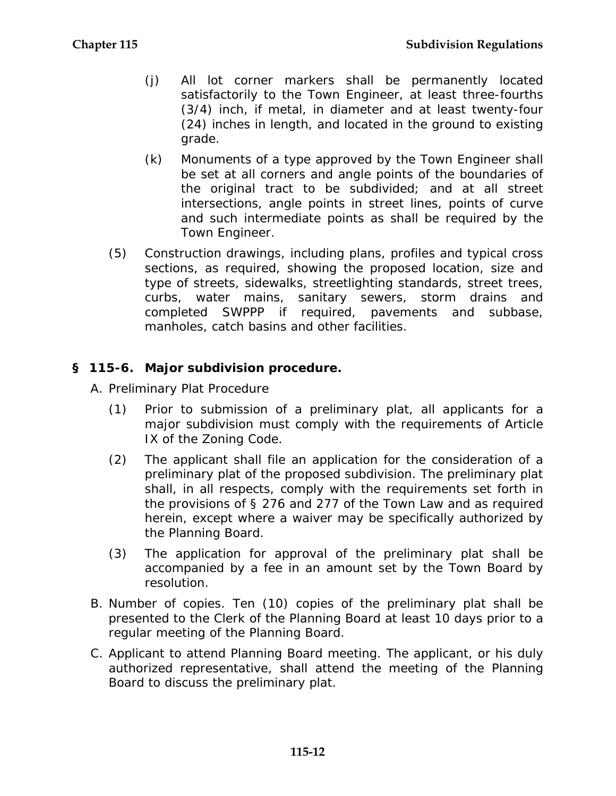- (j) All lot corner markers shall be permanently located satisfactorily to the Town Engineer, at least three-fourths (3/4) inch, if metal, in diameter and at least twenty-four (24) inches in length, and located in the ground to existing grade.
- (k) Monuments of a type approved by the Town Engineer shall be set at all corners and angle points of the boundaries of the original tract to be subdivided; and at all street intersections, angle points in street lines, points of curve and such intermediate points as shall be required by the Town Engineer.
- (5) Construction drawings, including plans, profiles and typical cross sections, as required, showing the proposed location, size and type of streets, sidewalks, streetlighting standards, street trees, curbs, water mains, sanitary sewers, storm drains and completed SWPPP if required, pavements and subbase, manholes, catch basins and other facilities.

#### **§ 115-6. Major subdivision procedure.**

- A. Preliminary Plat Procedure
	- (1) Prior to submission of a preliminary plat, all applicants for a major subdivision must comply with the requirements of Article IX of the Zoning Code.
	- (2) The applicant shall file an application for the consideration of a preliminary plat of the proposed subdivision. The preliminary plat shall, in all respects, comply with the requirements set forth in the provisions of § 276 and 277 of the Town Law and as required herein, except where a waiver may be specifically authorized by the Planning Board.
	- (3) The application for approval of the preliminary plat shall be accompanied by a fee in an amount set by the Town Board by resolution.
- B. Number of copies. Ten (10) copies of the preliminary plat shall be presented to the Clerk of the Planning Board at least 10 days prior to a regular meeting of the Planning Board.
- C. Applicant to attend Planning Board meeting. The applicant, or his duly authorized representative, shall attend the meeting of the Planning Board to discuss the preliminary plat.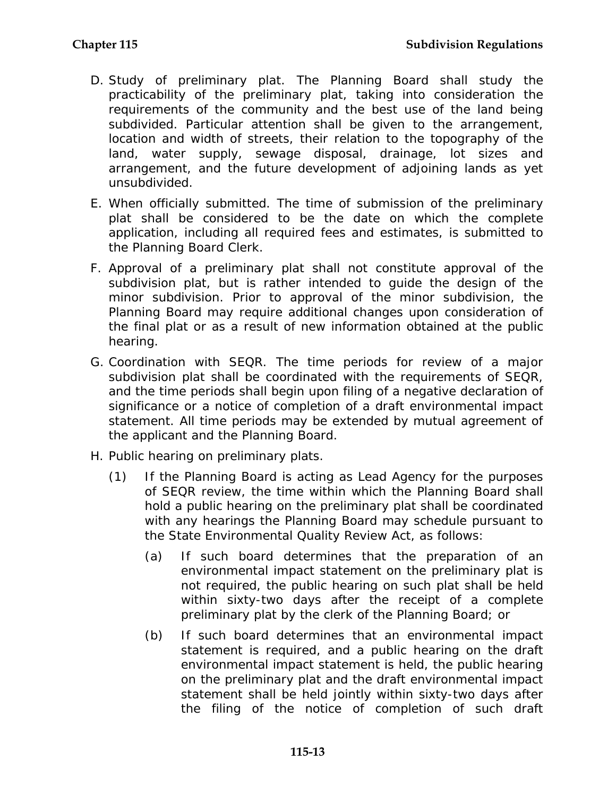- D. Study of preliminary plat. The Planning Board shall study the practicability of the preliminary plat, taking into consideration the requirements of the community and the best use of the land being subdivided. Particular attention shall be given to the arrangement, location and width of streets, their relation to the topography of the land, water supply, sewage disposal, drainage, lot sizes and arrangement, and the future development of adjoining lands as yet unsubdivided.
- E. When officially submitted. The time of submission of the preliminary plat shall be considered to be the date on which the complete application, including all required fees and estimates, is submitted to the Planning Board Clerk.
- F. Approval of a preliminary plat shall not constitute approval of the subdivision plat, but is rather intended to guide the design of the minor subdivision. Prior to approval of the minor subdivision, the Planning Board may require additional changes upon consideration of the final plat or as a result of new information obtained at the public hearing.
- G. Coordination with SEQR. The time periods for review of a major subdivision plat shall be coordinated with the requirements of SEQR, and the time periods shall begin upon filing of a negative declaration of significance or a notice of completion of a draft environmental impact statement. All time periods may be extended by mutual agreement of the applicant and the Planning Board.
- H. Public hearing on preliminary plats.
	- (1) If the Planning Board is acting as Lead Agency for the purposes of SEQR review, the time within which the Planning Board shall hold a public hearing on the preliminary plat shall be coordinated with any hearings the Planning Board may schedule pursuant to the State Environmental Quality Review Act, as follows:
		- (a) If such board determines that the preparation of an environmental impact statement on the preliminary plat is not required, the public hearing on such plat shall be held within sixty-two days after the receipt of a complete preliminary plat by the clerk of the Planning Board; or
		- (b) If such board determines that an environmental impact statement is required, and a public hearing on the draft environmental impact statement is held, the public hearing on the preliminary plat and the draft environmental impact statement shall be held jointly within sixty-two days after the filing of the notice of completion of such draft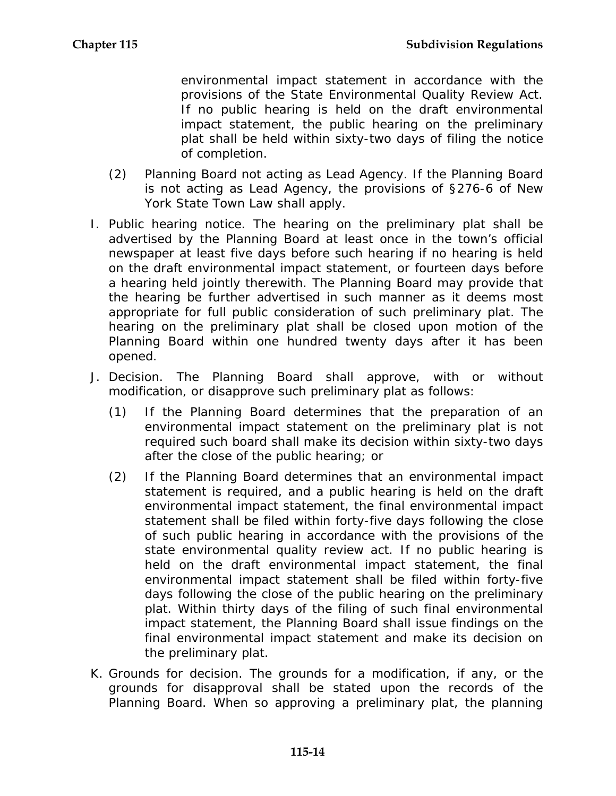environmental impact statement in accordance with the provisions of the State Environmental Quality Review Act. If no public hearing is held on the draft environmental impact statement, the public hearing on the preliminary plat shall be held within sixty-two days of filing the notice of completion.

- (2) Planning Board not acting as Lead Agency. If the Planning Board is not acting as Lead Agency, the provisions of §276-6 of New York State Town Law shall apply.
- I. Public hearing notice. The hearing on the preliminary plat shall be advertised by the Planning Board at least once in the town's official newspaper at least five days before such hearing if no hearing is held on the draft environmental impact statement, or fourteen days before a hearing held jointly therewith. The Planning Board may provide that the hearing be further advertised in such manner as it deems most appropriate for full public consideration of such preliminary plat. The hearing on the preliminary plat shall be closed upon motion of the Planning Board within one hundred twenty days after it has been opened.
- J. Decision. The Planning Board shall approve, with or without modification, or disapprove such preliminary plat as follows:
	- (1) If the Planning Board determines that the preparation of an environmental impact statement on the preliminary plat is not required such board shall make its decision within sixty-two days after the close of the public hearing; or
	- (2) If the Planning Board determines that an environmental impact statement is required, and a public hearing is held on the draft environmental impact statement, the final environmental impact statement shall be filed within forty-five days following the close of such public hearing in accordance with the provisions of the state environmental quality review act. If no public hearing is held on the draft environmental impact statement, the final environmental impact statement shall be filed within forty-five days following the close of the public hearing on the preliminary plat. Within thirty days of the filing of such final environmental impact statement, the Planning Board shall issue findings on the final environmental impact statement and make its decision on the preliminary plat.
- K. Grounds for decision. The grounds for a modification, if any, or the grounds for disapproval shall be stated upon the records of the Planning Board. When so approving a preliminary plat, the planning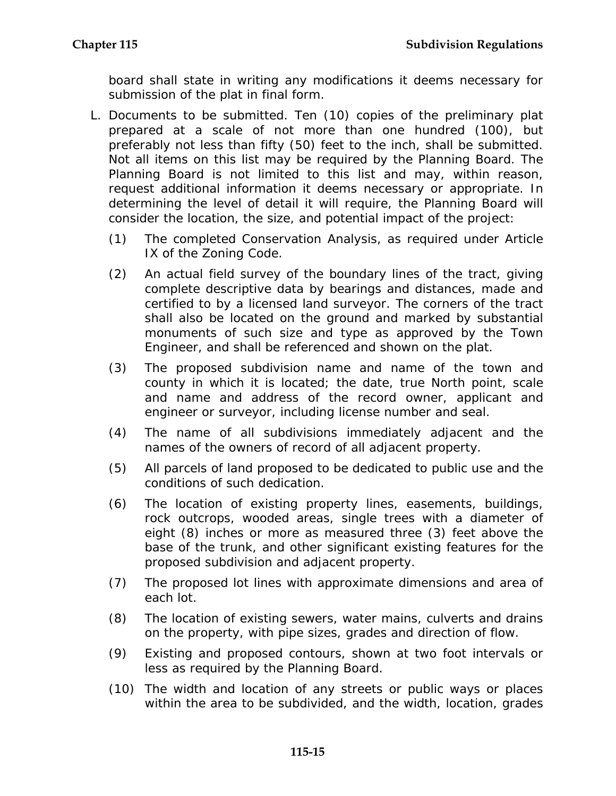board shall state in writing any modifications it deems necessary for submission of the plat in final form.

- L. Documents to be submitted. Ten (10) copies of the preliminary plat prepared at a scale of not more than one hundred (100), but preferably not less than fifty (50) feet to the inch, shall be submitted. Not all items on this list may be required by the Planning Board. The Planning Board is not limited to this list and may, within reason, request additional information it deems necessary or appropriate. In determining the level of detail it will require, the Planning Board will consider the location, the size, and potential impact of the project:
	- (1) The completed Conservation Analysis, as required under Article IX of the Zoning Code.
	- (2) An actual field survey of the boundary lines of the tract, giving complete descriptive data by bearings and distances, made and certified to by a licensed land surveyor. The corners of the tract shall also be located on the ground and marked by substantial monuments of such size and type as approved by the Town Engineer, and shall be referenced and shown on the plat.
	- (3) The proposed subdivision name and name of the town and county in which it is located; the date, true North point, scale and name and address of the record owner, applicant and engineer or surveyor, including license number and seal.
	- (4) The name of all subdivisions immediately adjacent and the names of the owners of record of all adjacent property.
	- (5) All parcels of land proposed to be dedicated to public use and the conditions of such dedication.
	- (6) The location of existing property lines, easements, buildings, rock outcrops, wooded areas, single trees with a diameter of eight (8) inches or more as measured three (3) feet above the base of the trunk, and other significant existing features for the proposed subdivision and adjacent property.
	- (7) The proposed lot lines with approximate dimensions and area of each lot.
	- (8) The location of existing sewers, water mains, culverts and drains on the property, with pipe sizes, grades and direction of flow.
	- (9) Existing and proposed contours, shown at two foot intervals or less as required by the Planning Board.
	- (10) The width and location of any streets or public ways or places within the area to be subdivided, and the width, location, grades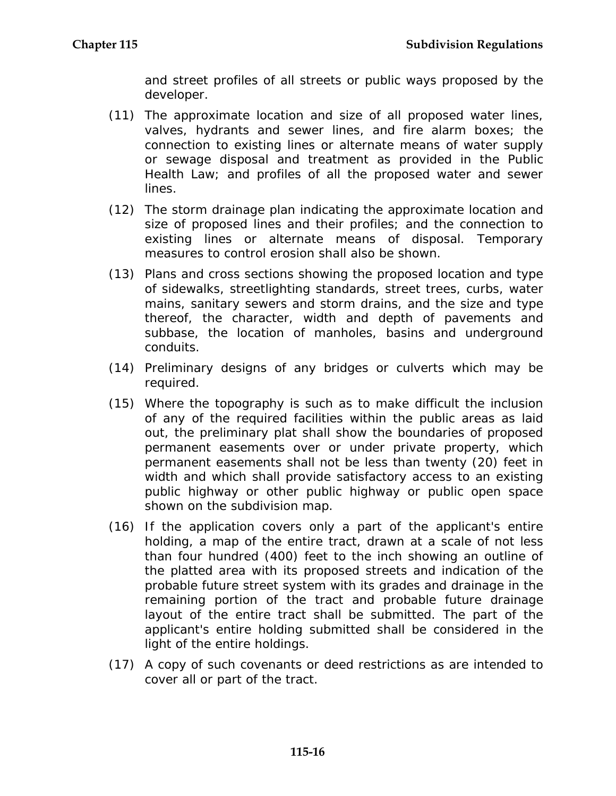and street profiles of all streets or public ways proposed by the developer.

- (11) The approximate location and size of all proposed water lines, valves, hydrants and sewer lines, and fire alarm boxes; the connection to existing lines or alternate means of water supply or sewage disposal and treatment as provided in the Public Health Law; and profiles of all the proposed water and sewer lines.
- (12) The storm drainage plan indicating the approximate location and size of proposed lines and their profiles; and the connection to existing lines or alternate means of disposal. Temporary measures to control erosion shall also be shown.
- (13) Plans and cross sections showing the proposed location and type of sidewalks, streetlighting standards, street trees, curbs, water mains, sanitary sewers and storm drains, and the size and type thereof, the character, width and depth of pavements and subbase, the location of manholes, basins and underground conduits.
- (14) Preliminary designs of any bridges or culverts which may be required.
- (15) Where the topography is such as to make difficult the inclusion of any of the required facilities within the public areas as laid out, the preliminary plat shall show the boundaries of proposed permanent easements over or under private property, which permanent easements shall not be less than twenty (20) feet in width and which shall provide satisfactory access to an existing public highway or other public highway or public open space shown on the subdivision map.
- (16) If the application covers only a part of the applicant's entire holding, a map of the entire tract, drawn at a scale of not less than four hundred (400) feet to the inch showing an outline of the platted area with its proposed streets and indication of the probable future street system with its grades and drainage in the remaining portion of the tract and probable future drainage layout of the entire tract shall be submitted. The part of the applicant's entire holding submitted shall be considered in the light of the entire holdings.
- (17) A copy of such covenants or deed restrictions as are intended to cover all or part of the tract.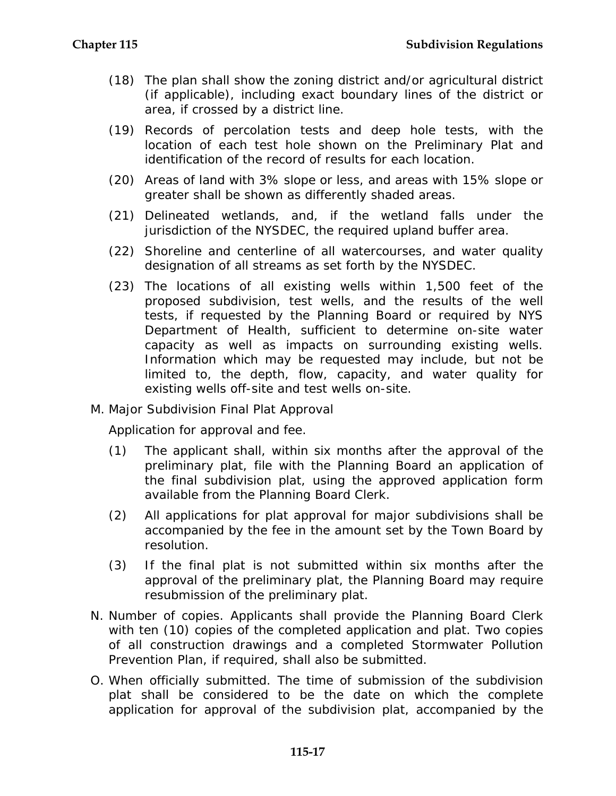- (18) The plan shall show the zoning district and/or agricultural district (if applicable), including exact boundary lines of the district or area, if crossed by a district line.
- (19) Records of percolation tests and deep hole tests, with the location of each test hole shown on the Preliminary Plat and identification of the record of results for each location.
- (20) Areas of land with 3% slope or less, and areas with 15% slope or greater shall be shown as differently shaded areas.
- (21) Delineated wetlands, and, if the wetland falls under the jurisdiction of the NYSDEC, the required upland buffer area.
- (22) Shoreline and centerline of all watercourses, and water quality designation of all streams as set forth by the NYSDEC.
- (23) The locations of all existing wells within 1,500 feet of the proposed subdivision, test wells, and the results of the well tests, if requested by the Planning Board or required by NYS Department of Health, sufficient to determine on-site water capacity as well as impacts on surrounding existing wells. Information which may be requested may include, but not be limited to, the depth, flow, capacity, and water quality for existing wells off-site and test wells on-site.
- M. Major Subdivision Final Plat Approval

Application for approval and fee.

- (1) The applicant shall, within six months after the approval of the preliminary plat, file with the Planning Board an application of the final subdivision plat, using the approved application form available from the Planning Board Clerk.
- (2) All applications for plat approval for major subdivisions shall be accompanied by the fee in the amount set by the Town Board by resolution.
- (3) If the final plat is not submitted within six months after the approval of the preliminary plat, the Planning Board may require resubmission of the preliminary plat.
- N. Number of copies. Applicants shall provide the Planning Board Clerk with ten (10) copies of the completed application and plat. Two copies of all construction drawings and a completed Stormwater Pollution Prevention Plan, if required, shall also be submitted.
- O. When officially submitted. The time of submission of the subdivision plat shall be considered to be the date on which the complete application for approval of the subdivision plat, accompanied by the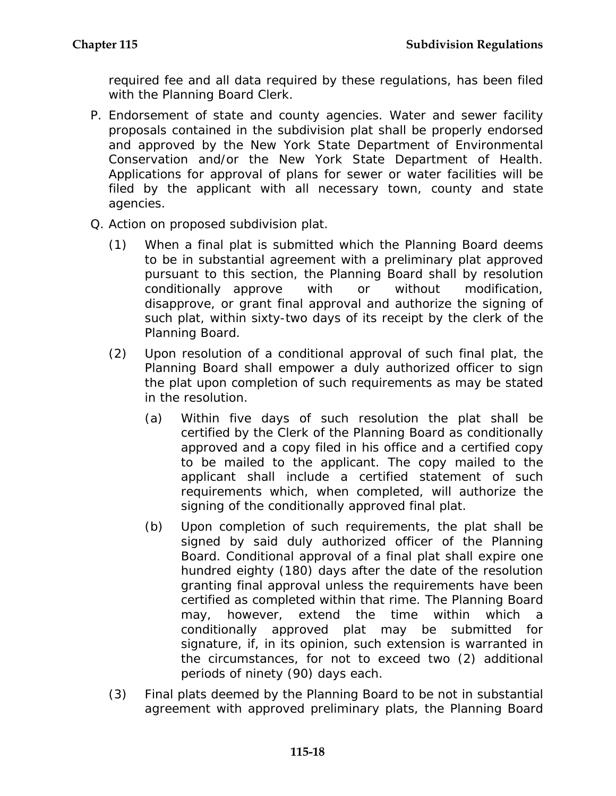required fee and all data required by these regulations, has been filed with the Planning Board Clerk.

- P. Endorsement of state and county agencies. Water and sewer facility proposals contained in the subdivision plat shall be properly endorsed and approved by the New York State Department of Environmental Conservation and/or the New York State Department of Health. Applications for approval of plans for sewer or water facilities will be filed by the applicant with all necessary town, county and state agencies.
- Q. Action on proposed subdivision plat.
	- (1) When a final plat is submitted which the Planning Board deems to be in substantial agreement with a preliminary plat approved pursuant to this section, the Planning Board shall by resolution conditionally approve with or without modification, disapprove, or grant final approval and authorize the signing of such plat, within sixty-two days of its receipt by the clerk of the Planning Board.
	- (2) Upon resolution of a conditional approval of such final plat, the Planning Board shall empower a duly authorized officer to sign the plat upon completion of such requirements as may be stated in the resolution.
		- (a) Within five days of such resolution the plat shall be certified by the Clerk of the Planning Board as conditionally approved and a copy filed in his office and a certified copy to be mailed to the applicant. The copy mailed to the applicant shall include a certified statement of such requirements which, when completed, will authorize the signing of the conditionally approved final plat.
		- (b) Upon completion of such requirements, the plat shall be signed by said duly authorized officer of the Planning Board. Conditional approval of a final plat shall expire one hundred eighty (180) days after the date of the resolution granting final approval unless the requirements have been certified as completed within that rime. The Planning Board may, however, extend the time within which a conditionally approved plat may be submitted for signature, if, in its opinion, such extension is warranted in the circumstances, for not to exceed two (2) additional periods of ninety (90) days each.
	- (3) Final plats deemed by the Planning Board to be not in substantial agreement with approved preliminary plats, the Planning Board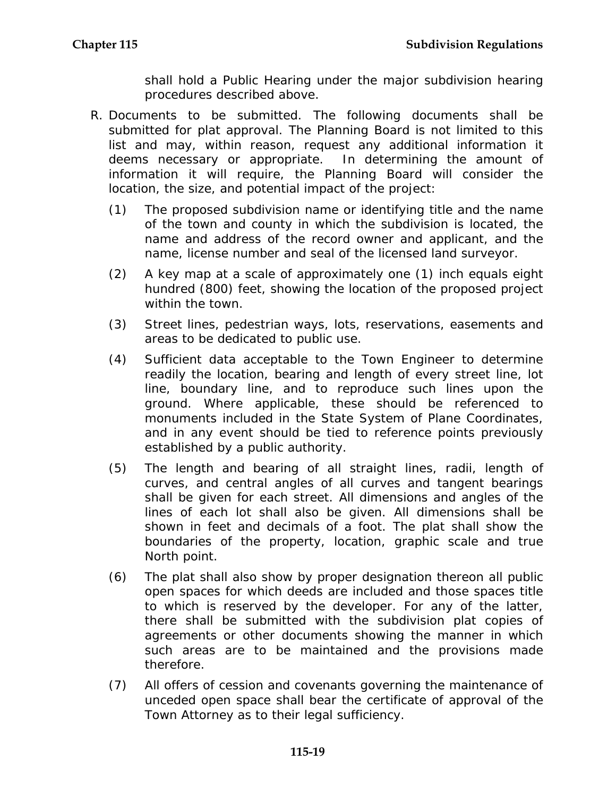shall hold a Public Hearing under the major subdivision hearing procedures described above.

- R. Documents to be submitted. The following documents shall be submitted for plat approval. The Planning Board is not limited to this list and may, within reason, request any additional information it deems necessary or appropriate. In determining the amount of information it will require, the Planning Board will consider the location, the size, and potential impact of the project:
	- (1) The proposed subdivision name or identifying title and the name of the town and county in which the subdivision is located, the name and address of the record owner and applicant, and the name, license number and seal of the licensed land surveyor.
	- (2) A key map at a scale of approximately one (1) inch equals eight hundred (800) feet, showing the location of the proposed project within the town.
	- (3) Street lines, pedestrian ways, lots, reservations, easements and areas to be dedicated to public use.
	- (4) Sufficient data acceptable to the Town Engineer to determine readily the location, bearing and length of every street line, lot line, boundary line, and to reproduce such lines upon the ground. Where applicable, these should be referenced to monuments included in the State System of Plane Coordinates, and in any event should be tied to reference points previously established by a public authority.
	- (5) The length and bearing of all straight lines, radii, length of curves, and central angles of all curves and tangent bearings shall be given for each street. All dimensions and angles of the lines of each lot shall also be given. All dimensions shall be shown in feet and decimals of a foot. The plat shall show the boundaries of the property, location, graphic scale and true North point.
	- (6) The plat shall also show by proper designation thereon all public open spaces for which deeds are included and those spaces title to which is reserved by the developer. For any of the latter, there shall be submitted with the subdivision plat copies of agreements or other documents showing the manner in which such areas are to be maintained and the provisions made therefore.
	- (7) All offers of cession and covenants governing the maintenance of unceded open space shall bear the certificate of approval of the Town Attorney as to their legal sufficiency.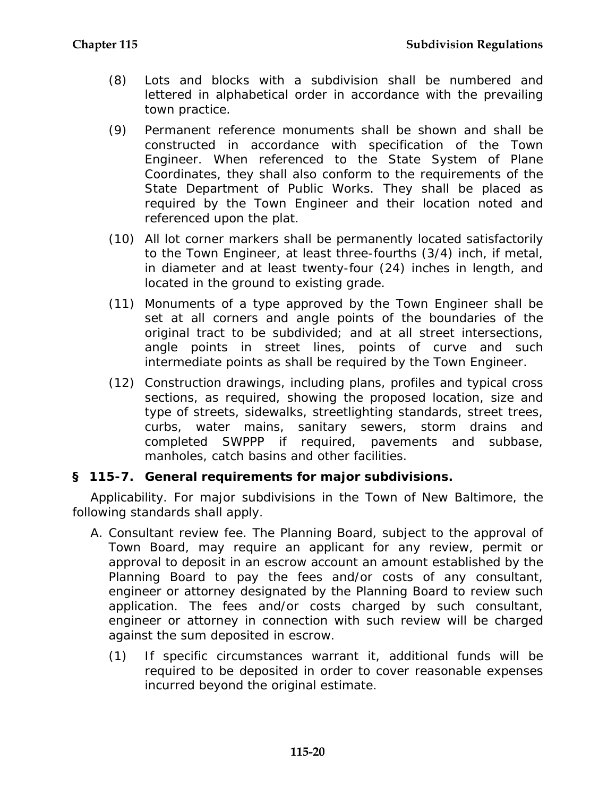- (8) Lots and blocks with a subdivision shall be numbered and lettered in alphabetical order in accordance with the prevailing town practice.
- (9) Permanent reference monuments shall be shown and shall be constructed in accordance with specification of the Town Engineer. When referenced to the State System of Plane Coordinates, they shall also conform to the requirements of the State Department of Public Works. They shall be placed as required by the Town Engineer and their location noted and referenced upon the plat.
- (10) All lot corner markers shall be permanently located satisfactorily to the Town Engineer, at least three-fourths (3/4) inch, if metal, in diameter and at least twenty-four (24) inches in length, and located in the ground to existing grade.
- (11) Monuments of a type approved by the Town Engineer shall be set at all corners and angle points of the boundaries of the original tract to be subdivided; and at all street intersections, angle points in street lines, points of curve and such intermediate points as shall be required by the Town Engineer.
- (12) Construction drawings, including plans, profiles and typical cross sections, as required, showing the proposed location, size and type of streets, sidewalks, streetlighting standards, street trees, curbs, water mains, sanitary sewers, storm drains and completed SWPPP if required, pavements and subbase, manholes, catch basins and other facilities.

#### **§ 115-7. General requirements for major subdivisions.**

Applicability. For major subdivisions in the Town of New Baltimore, the following standards shall apply.

- A. Consultant review fee. The Planning Board, subject to the approval of Town Board, may require an applicant for any review, permit or approval to deposit in an escrow account an amount established by the Planning Board to pay the fees and/or costs of any consultant, engineer or attorney designated by the Planning Board to review such application. The fees and/or costs charged by such consultant, engineer or attorney in connection with such review will be charged against the sum deposited in escrow.
	- (1) If specific circumstances warrant it, additional funds will be required to be deposited in order to cover reasonable expenses incurred beyond the original estimate.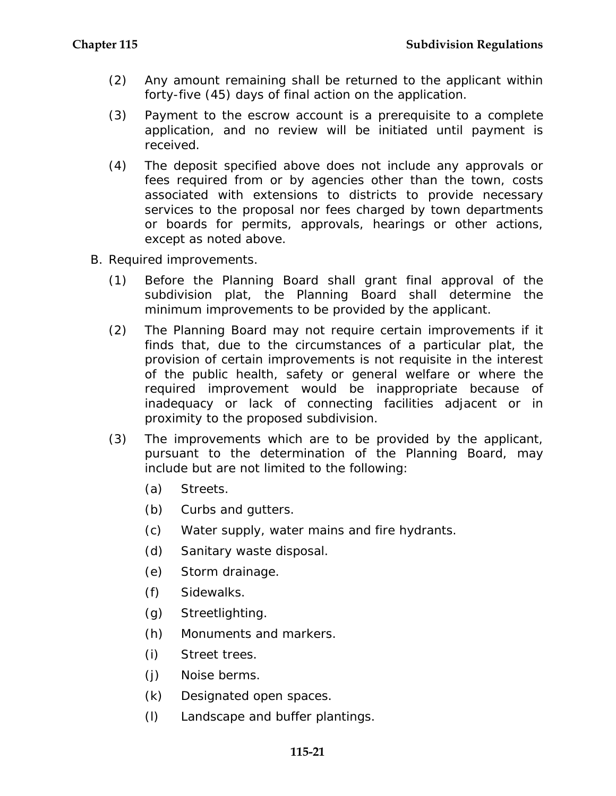- (2) Any amount remaining shall be returned to the applicant within forty-five (45) days of final action on the application.
- (3) Payment to the escrow account is a prerequisite to a complete application, and no review will be initiated until payment is received.
- (4) The deposit specified above does not include any approvals or fees required from or by agencies other than the town, costs associated with extensions to districts to provide necessary services to the proposal nor fees charged by town departments or boards for permits, approvals, hearings or other actions, except as noted above.
- B. Required improvements.
	- (1) Before the Planning Board shall grant final approval of the subdivision plat, the Planning Board shall determine the minimum improvements to be provided by the applicant.
	- (2) The Planning Board may not require certain improvements if it finds that, due to the circumstances of a particular plat, the provision of certain improvements is not requisite in the interest of the public health, safety or general welfare or where the required improvement would be inappropriate because of inadequacy or lack of connecting facilities adjacent or in proximity to the proposed subdivision.
	- (3) The improvements which are to be provided by the applicant, pursuant to the determination of the Planning Board, may include but are not limited to the following:
		- (a) Streets.
		- (b) Curbs and gutters.
		- (c) Water supply, water mains and fire hydrants.
		- (d) Sanitary waste disposal.
		- (e) Storm drainage.
		- (f) Sidewalks.
		- (g) Streetlighting.
		- (h) Monuments and markers.
		- (i) Street trees.
		- (j) Noise berms.
		- (k) Designated open spaces.
		- (l) Landscape and buffer plantings.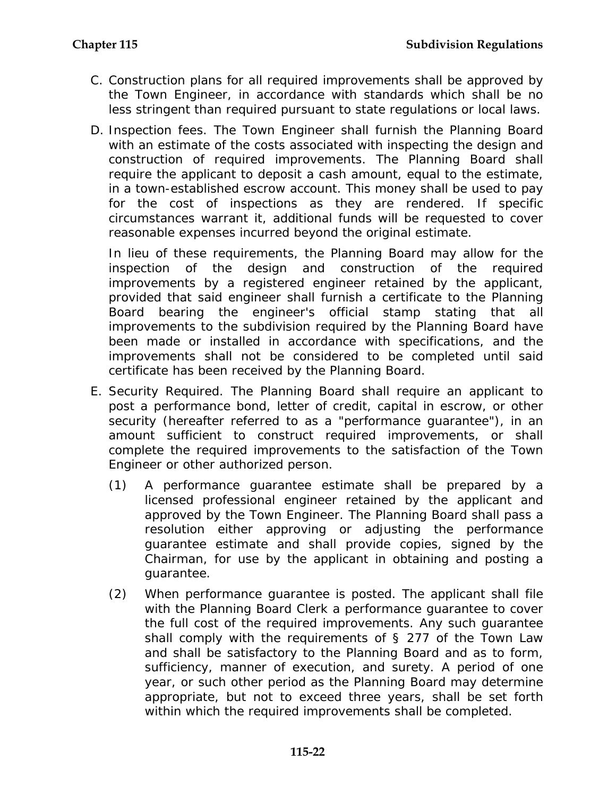- C. Construction plans for all required improvements shall be approved by the Town Engineer, in accordance with standards which shall be no less stringent than required pursuant to state regulations or local laws.
- D. Inspection fees. The Town Engineer shall furnish the Planning Board with an estimate of the costs associated with inspecting the design and construction of required improvements. The Planning Board shall require the applicant to deposit a cash amount, equal to the estimate, in a town-established escrow account. This money shall be used to pay for the cost of inspections as they are rendered. If specific circumstances warrant it, additional funds will be requested to cover reasonable expenses incurred beyond the original estimate.

In lieu of these requirements, the Planning Board may allow for the inspection of the design and construction of the required improvements by a registered engineer retained by the applicant, provided that said engineer shall furnish a certificate to the Planning Board bearing the engineer's official stamp stating that all improvements to the subdivision required by the Planning Board have been made or installed in accordance with specifications, and the improvements shall not be considered to be completed until said certificate has been received by the Planning Board.

- E. Security Required. The Planning Board shall require an applicant to post a performance bond, letter of credit, capital in escrow, or other security (hereafter referred to as a "performance guarantee"), in an amount sufficient to construct required improvements, or shall complete the required improvements to the satisfaction of the Town Engineer or other authorized person.
	- (1) A performance guarantee estimate shall be prepared by a licensed professional engineer retained by the applicant and approved by the Town Engineer. The Planning Board shall pass a resolution either approving or adjusting the performance guarantee estimate and shall provide copies, signed by the Chairman, for use by the applicant in obtaining and posting a guarantee.
	- (2) When performance guarantee is posted. The applicant shall file with the Planning Board Clerk a performance guarantee to cover the full cost of the required improvements. Any such guarantee shall comply with the requirements of § 277 of the Town Law and shall be satisfactory to the Planning Board and as to form, sufficiency, manner of execution, and surety. A period of one year, or such other period as the Planning Board may determine appropriate, but not to exceed three years, shall be set forth within which the required improvements shall be completed.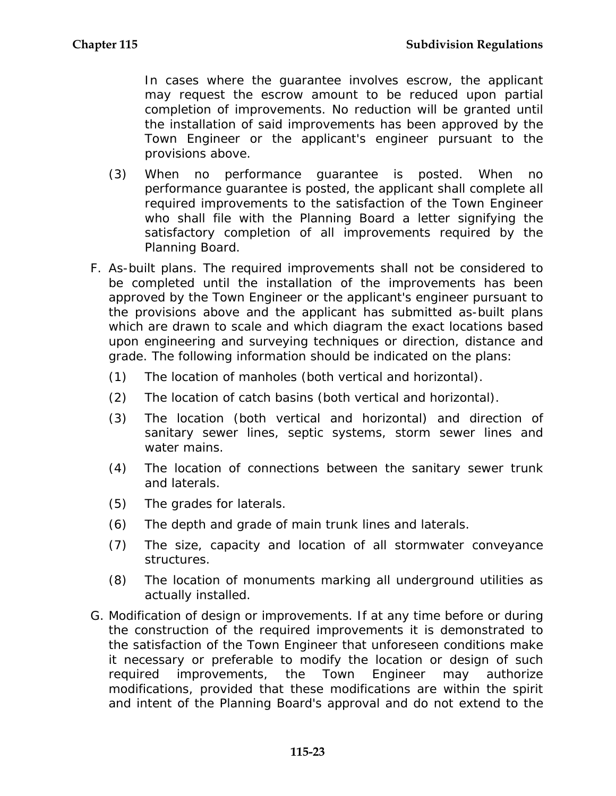In cases where the guarantee involves escrow, the applicant may request the escrow amount to be reduced upon partial completion of improvements. No reduction will be granted until the installation of said improvements has been approved by the Town Engineer or the applicant's engineer pursuant to the provisions above.

- (3) When no performance guarantee is posted. When no performance guarantee is posted, the applicant shall complete all required improvements to the satisfaction of the Town Engineer who shall file with the Planning Board a letter signifying the satisfactory completion of all improvements required by the Planning Board.
- F. As-built plans. The required improvements shall not be considered to be completed until the installation of the improvements has been approved by the Town Engineer or the applicant's engineer pursuant to the provisions above and the applicant has submitted as-built plans which are drawn to scale and which diagram the exact locations based upon engineering and surveying techniques or direction, distance and grade. The following information should be indicated on the plans:
	- (1) The location of manholes (both vertical and horizontal).
	- (2) The location of catch basins (both vertical and horizontal).
	- (3) The location (both vertical and horizontal) and direction of sanitary sewer lines, septic systems, storm sewer lines and water mains.
	- (4) The location of connections between the sanitary sewer trunk and laterals.
	- (5) The grades for laterals.
	- (6) The depth and grade of main trunk lines and laterals.
	- (7) The size, capacity and location of all stormwater conveyance structures.
	- (8) The location of monuments marking all underground utilities as actually installed.
- G. Modification of design or improvements. If at any time before or during the construction of the required improvements it is demonstrated to the satisfaction of the Town Engineer that unforeseen conditions make it necessary or preferable to modify the location or design of such required improvements, the Town Engineer may authorize modifications, provided that these modifications are within the spirit and intent of the Planning Board's approval and do not extend to the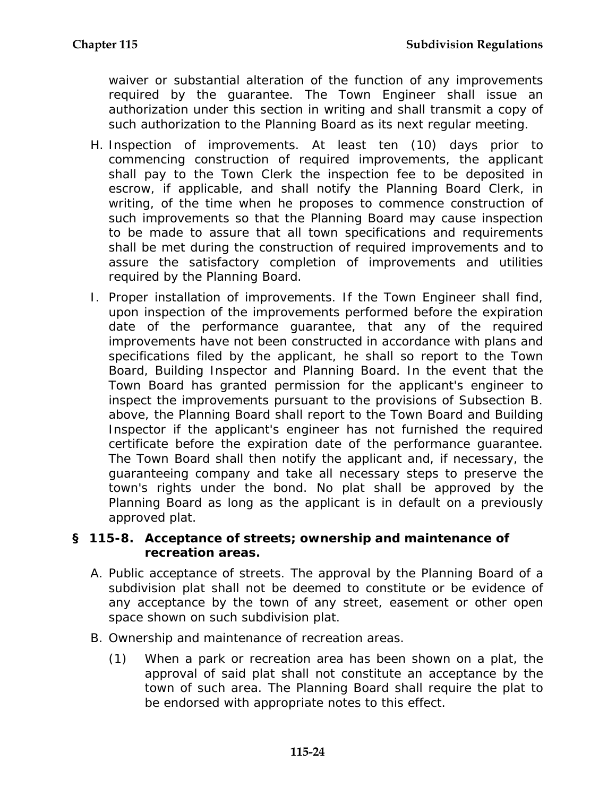waiver or substantial alteration of the function of any improvements required by the guarantee. The Town Engineer shall issue an authorization under this section in writing and shall transmit a copy of such authorization to the Planning Board as its next regular meeting.

- H. Inspection of improvements. At least ten (10) days prior to commencing construction of required improvements, the applicant shall pay to the Town Clerk the inspection fee to be deposited in escrow, if applicable, and shall notify the Planning Board Clerk, in writing, of the time when he proposes to commence construction of such improvements so that the Planning Board may cause inspection to be made to assure that all town specifications and requirements shall be met during the construction of required improvements and to assure the satisfactory completion of improvements and utilities required by the Planning Board.
- I. Proper installation of improvements. If the Town Engineer shall find, upon inspection of the improvements performed before the expiration date of the performance guarantee, that any of the required improvements have not been constructed in accordance with plans and specifications filed by the applicant, he shall so report to the Town Board, Building Inspector and Planning Board. In the event that the Town Board has granted permission for the applicant's engineer to inspect the improvements pursuant to the provisions of Subsection B. above, the Planning Board shall report to the Town Board and Building Inspector if the applicant's engineer has not furnished the required certificate before the expiration date of the performance guarantee. The Town Board shall then notify the applicant and, if necessary, the guaranteeing company and take all necessary steps to preserve the town's rights under the bond. No plat shall be approved by the Planning Board as long as the applicant is in default on a previously approved plat.

#### **§ 115-8. Acceptance of streets; ownership and maintenance of recreation areas.**

- A. Public acceptance of streets. The approval by the Planning Board of a subdivision plat shall not be deemed to constitute or be evidence of any acceptance by the town of any street, easement or other open space shown on such subdivision plat.
- B. Ownership and maintenance of recreation areas.
	- (1) When a park or recreation area has been shown on a plat, the approval of said plat shall not constitute an acceptance by the town of such area. The Planning Board shall require the plat to be endorsed with appropriate notes to this effect.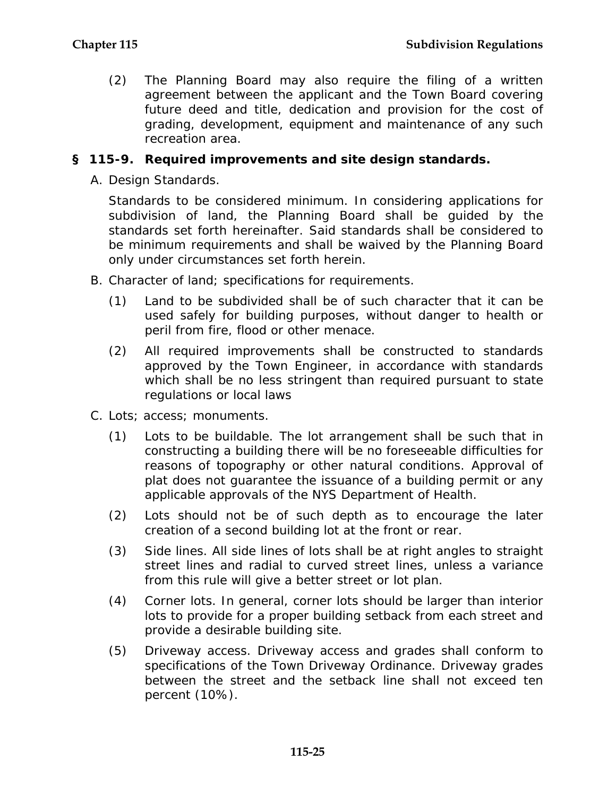(2) The Planning Board may also require the filing of a written agreement between the applicant and the Town Board covering future deed and title, dedication and provision for the cost of grading, development, equipment and maintenance of any such recreation area.

### **§ 115-9. Required improvements and site design standards.**

A. Design Standards.

Standards to be considered minimum. In considering applications for subdivision of land, the Planning Board shall be guided by the standards set forth hereinafter. Said standards shall be considered to be minimum requirements and shall be waived by the Planning Board only under circumstances set forth herein.

- B. Character of land; specifications for requirements.
	- (1) Land to be subdivided shall be of such character that it can be used safely for building purposes, without danger to health or peril from fire, flood or other menace.
	- (2) All required improvements shall be constructed to standards approved by the Town Engineer, in accordance with standards which shall be no less stringent than required pursuant to state regulations or local laws
- C. Lots; access; monuments.
	- (1) Lots to be buildable. The lot arrangement shall be such that in constructing a building there will be no foreseeable difficulties for reasons of topography or other natural conditions. Approval of plat does not guarantee the issuance of a building permit or any applicable approvals of the NYS Department of Health.
	- (2) Lots should not be of such depth as to encourage the later creation of a second building lot at the front or rear.
	- (3) Side lines. All side lines of lots shall be at right angles to straight street lines and radial to curved street lines, unless a variance from this rule will give a better street or lot plan.
	- (4) Corner lots. In general, corner lots should be larger than interior lots to provide for a proper building setback from each street and provide a desirable building site.
	- (5) Driveway access. Driveway access and grades shall conform to specifications of the Town Driveway Ordinance. Driveway grades between the street and the setback line shall not exceed ten percent (10%).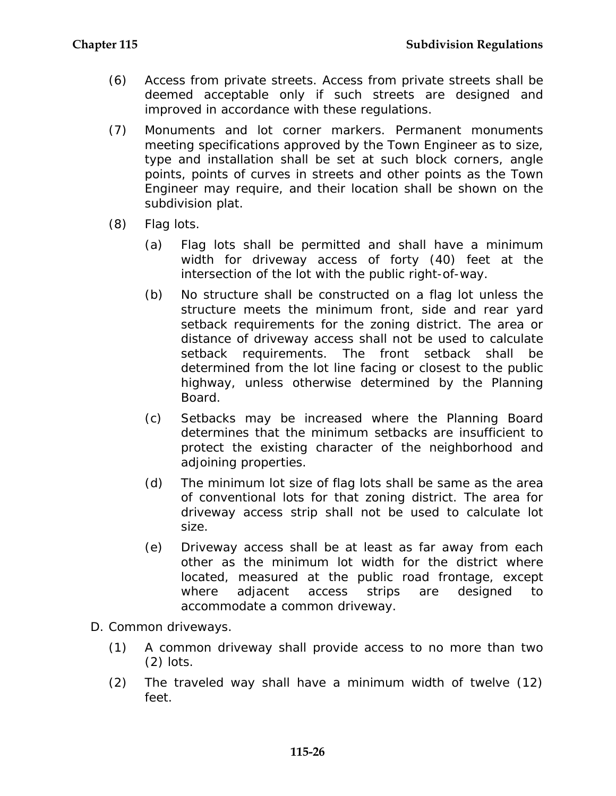- (6) Access from private streets. Access from private streets shall be deemed acceptable only if such streets are designed and improved in accordance with these regulations.
- (7) Monuments and lot corner markers. Permanent monuments meeting specifications approved by the Town Engineer as to size, type and installation shall be set at such block corners, angle points, points of curves in streets and other points as the Town Engineer may require, and their location shall be shown on the subdivision plat.
- (8) Flag lots.
	- (a) Flag lots shall be permitted and shall have a minimum width for driveway access of forty (40) feet at the intersection of the lot with the public right-of-way.
	- (b) No structure shall be constructed on a flag lot unless the structure meets the minimum front, side and rear yard setback requirements for the zoning district. The area or distance of driveway access shall not be used to calculate setback requirements. The front setback shall be determined from the lot line facing or closest to the public highway, unless otherwise determined by the Planning Board.
	- (c) Setbacks may be increased where the Planning Board determines that the minimum setbacks are insufficient to protect the existing character of the neighborhood and adjoining properties.
	- (d) The minimum lot size of flag lots shall be same as the area of conventional lots for that zoning district. The area for driveway access strip shall not be used to calculate lot size.
	- (e) Driveway access shall be at least as far away from each other as the minimum lot width for the district where located, measured at the public road frontage, except where adjacent access strips are designed to accommodate a common driveway.
- D. Common driveways.
	- (1) A common driveway shall provide access to no more than two (2) lots.
	- (2) The traveled way shall have a minimum width of twelve (12) feet.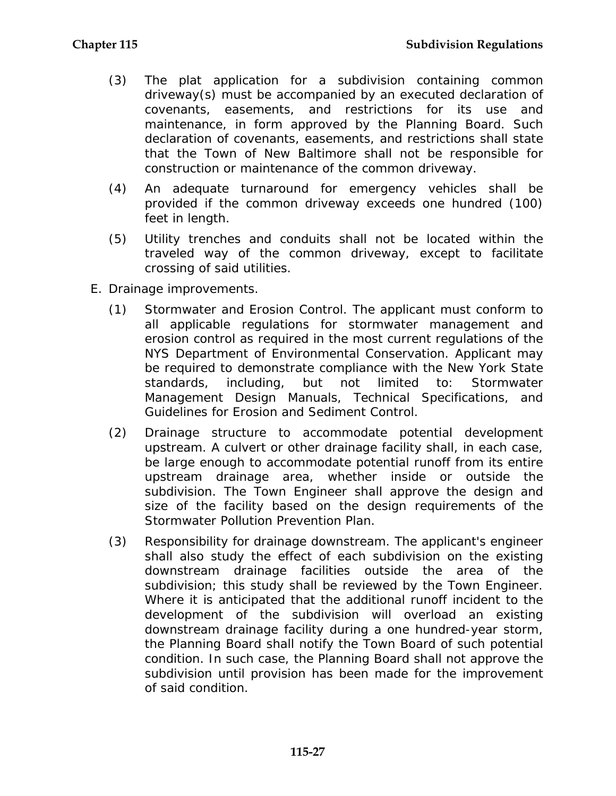- (3) The plat application for a subdivision containing common driveway(s) must be accompanied by an executed declaration of covenants, easements, and restrictions for its use and maintenance, in form approved by the Planning Board. Such declaration of covenants, easements, and restrictions shall state that the Town of New Baltimore shall not be responsible for construction or maintenance of the common driveway.
- (4) An adequate turnaround for emergency vehicles shall be provided if the common driveway exceeds one hundred (100) feet in length.
- (5) Utility trenches and conduits shall not be located within the traveled way of the common driveway, except to facilitate crossing of said utilities.
- E. Drainage improvements.
	- (1) Stormwater and Erosion Control. The applicant must conform to all applicable regulations for stormwater management and erosion control as required in the most current regulations of the NYS Department of Environmental Conservation. Applicant may be required to demonstrate compliance with the New York State standards, including, but not limited to: Stormwater Management Design Manuals, Technical Specifications, and Guidelines for Erosion and Sediment Control.
	- (2) Drainage structure to accommodate potential development upstream. A culvert or other drainage facility shall, in each case, be large enough to accommodate potential runoff from its entire upstream drainage area, whether inside or outside the subdivision. The Town Engineer shall approve the design and size of the facility based on the design requirements of the Stormwater Pollution Prevention Plan.
	- (3) Responsibility for drainage downstream. The applicant's engineer shall also study the effect of each subdivision on the existing downstream drainage facilities outside the area of the subdivision; this study shall be reviewed by the Town Engineer. Where it is anticipated that the additional runoff incident to the development of the subdivision will overload an existing downstream drainage facility during a one hundred-year storm, the Planning Board shall notify the Town Board of such potential condition. In such case, the Planning Board shall not approve the subdivision until provision has been made for the improvement of said condition.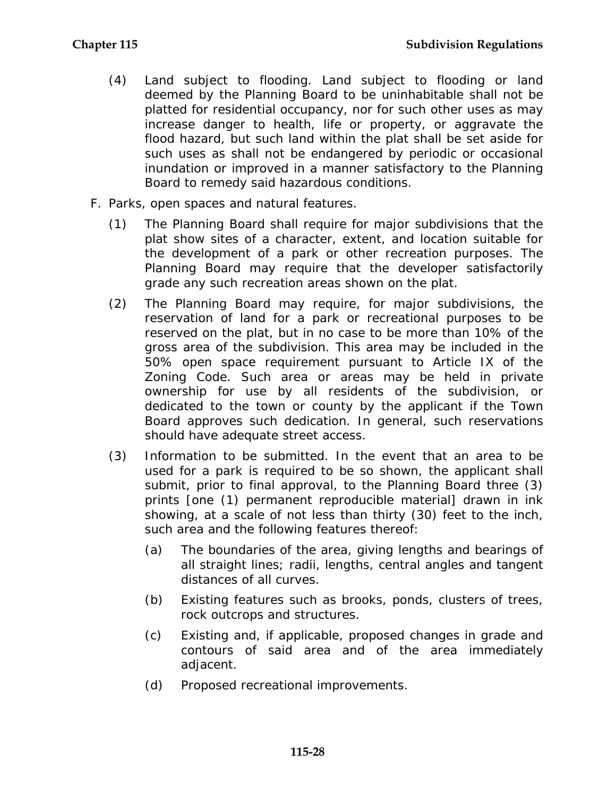- (4) Land subject to flooding. Land subject to flooding or land deemed by the Planning Board to be uninhabitable shall not be platted for residential occupancy, nor for such other uses as may increase danger to health, life or property, or aggravate the flood hazard, but such land within the plat shall be set aside for such uses as shall not be endangered by periodic or occasional inundation or improved in a manner satisfactory to the Planning Board to remedy said hazardous conditions.
- F. Parks, open spaces and natural features.
	- (1) The Planning Board shall require for major subdivisions that the plat show sites of a character, extent, and location suitable for the development of a park or other recreation purposes. The Planning Board may require that the developer satisfactorily grade any such recreation areas shown on the plat.
	- (2) The Planning Board may require, for major subdivisions, the reservation of land for a park or recreational purposes to be reserved on the plat, but in no case to be more than 10% of the gross area of the subdivision. This area may be included in the 50% open space requirement pursuant to Article IX of the Zoning Code. Such area or areas may be held in private ownership for use by all residents of the subdivision, or dedicated to the town or county by the applicant if the Town Board approves such dedication. In general, such reservations should have adequate street access.
	- (3) Information to be submitted. In the event that an area to be used for a park is required to be so shown, the applicant shall submit, prior to final approval, to the Planning Board three (3) prints [one (1) permanent reproducible material] drawn in ink showing, at a scale of not less than thirty (30) feet to the inch, such area and the following features thereof:
		- (a) The boundaries of the area, giving lengths and bearings of all straight lines; radii, lengths, central angles and tangent distances of all curves.
		- (b) Existing features such as brooks, ponds, clusters of trees, rock outcrops and structures.
		- (c) Existing and, if applicable, proposed changes in grade and contours of said area and of the area immediately adjacent.
		- (d) Proposed recreational improvements.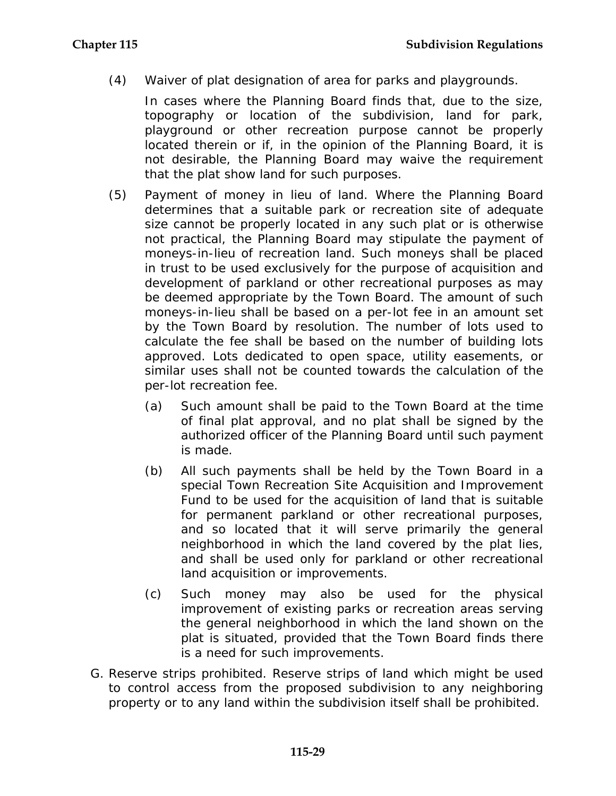(4) Waiver of plat designation of area for parks and playgrounds.

In cases where the Planning Board finds that, due to the size, topography or location of the subdivision, land for park, playground or other recreation purpose cannot be properly located therein or if, in the opinion of the Planning Board, it is not desirable, the Planning Board may waive the requirement that the plat show land for such purposes.

- (5) Payment of money in lieu of land. Where the Planning Board determines that a suitable park or recreation site of adequate size cannot be properly located in any such plat or is otherwise not practical, the Planning Board may stipulate the payment of moneys-in-lieu of recreation land. Such moneys shall be placed in trust to be used exclusively for the purpose of acquisition and development of parkland or other recreational purposes as may be deemed appropriate by the Town Board. The amount of such moneys-in-lieu shall be based on a per-lot fee in an amount set by the Town Board by resolution. The number of lots used to calculate the fee shall be based on the number of building lots approved. Lots dedicated to open space, utility easements, or similar uses shall not be counted towards the calculation of the per-lot recreation fee.
	- (a) Such amount shall be paid to the Town Board at the time of final plat approval, and no plat shall be signed by the authorized officer of the Planning Board until such payment is made.
	- (b) All such payments shall be held by the Town Board in a special Town Recreation Site Acquisition and Improvement Fund to be used for the acquisition of land that is suitable for permanent parkland or other recreational purposes, and so located that it will serve primarily the general neighborhood in which the land covered by the plat lies, and shall be used only for parkland or other recreational land acquisition or improvements.
	- (c) Such money may also be used for the physical improvement of existing parks or recreation areas serving the general neighborhood in which the land shown on the plat is situated, provided that the Town Board finds there is a need for such improvements.
- G. Reserve strips prohibited. Reserve strips of land which might be used to control access from the proposed subdivision to any neighboring property or to any land within the subdivision itself shall be prohibited.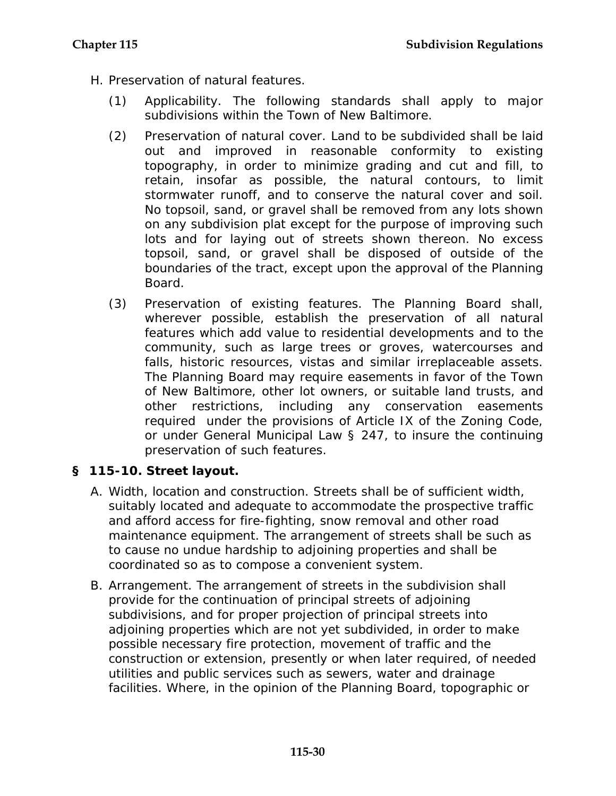- H. Preservation of natural features.
	- (1) Applicability. The following standards shall apply to major subdivisions within the Town of New Baltimore.
	- (2) Preservation of natural cover. Land to be subdivided shall be laid out and improved in reasonable conformity to existing topography, in order to minimize grading and cut and fill, to retain, insofar as possible, the natural contours, to limit stormwater runoff, and to conserve the natural cover and soil. No topsoil, sand, or gravel shall be removed from any lots shown on any subdivision plat except for the purpose of improving such lots and for laying out of streets shown thereon. No excess topsoil, sand, or gravel shall be disposed of outside of the boundaries of the tract, except upon the approval of the Planning Board.
	- (3) Preservation of existing features. The Planning Board shall, wherever possible, establish the preservation of all natural features which add value to residential developments and to the community, such as large trees or groves, watercourses and falls, historic resources, vistas and similar irreplaceable assets. The Planning Board may require easements in favor of the Town of New Baltimore, other lot owners, or suitable land trusts, and other restrictions, including any conservation easements required under the provisions of Article IX of the Zoning Code, or under General Municipal Law § 247, to insure the continuing preservation of such features.

# **§ 115-10. Street layout.**

- A. Width, location and construction. Streets shall be of sufficient width, suitably located and adequate to accommodate the prospective traffic and afford access for fire-fighting, snow removal and other road maintenance equipment. The arrangement of streets shall be such as to cause no undue hardship to adjoining properties and shall be coordinated so as to compose a convenient system.
- B. Arrangement. The arrangement of streets in the subdivision shall provide for the continuation of principal streets of adjoining subdivisions, and for proper projection of principal streets into adjoining properties which are not yet subdivided, in order to make possible necessary fire protection, movement of traffic and the construction or extension, presently or when later required, of needed utilities and public services such as sewers, water and drainage facilities. Where, in the opinion of the Planning Board, topographic or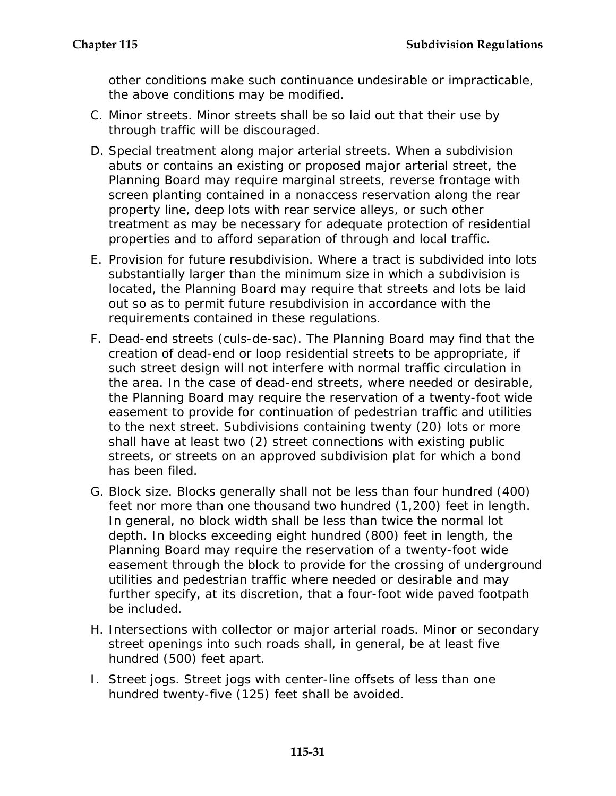other conditions make such continuance undesirable or impracticable, the above conditions may be modified.

- C. Minor streets. Minor streets shall be so laid out that their use by through traffic will be discouraged.
- D. Special treatment along major arterial streets. When a subdivision abuts or contains an existing or proposed major arterial street, the Planning Board may require marginal streets, reverse frontage with screen planting contained in a nonaccess reservation along the rear property line, deep lots with rear service alleys, or such other treatment as may be necessary for adequate protection of residential properties and to afford separation of through and local traffic.
- E. Provision for future resubdivision. Where a tract is subdivided into lots substantially larger than the minimum size in which a subdivision is located, the Planning Board may require that streets and lots be laid out so as to permit future resubdivision in accordance with the requirements contained in these regulations.
- F. Dead-end streets (culs-de-sac). The Planning Board may find that the creation of dead-end or loop residential streets to be appropriate, if such street design will not interfere with normal traffic circulation in the area. In the case of dead-end streets, where needed or desirable, the Planning Board may require the reservation of a twenty-foot wide easement to provide for continuation of pedestrian traffic and utilities to the next street. Subdivisions containing twenty (20) lots or more shall have at least two (2) street connections with existing public streets, or streets on an approved subdivision plat for which a bond has been filed.
- G. Block size. Blocks generally shall not be less than four hundred (400) feet nor more than one thousand two hundred (1,200) feet in length. In general, no block width shall be less than twice the normal lot depth. In blocks exceeding eight hundred (800) feet in length, the Planning Board may require the reservation of a twenty-foot wide easement through the block to provide for the crossing of underground utilities and pedestrian traffic where needed or desirable and may further specify, at its discretion, that a four-foot wide paved footpath be included.
- H. Intersections with collector or major arterial roads. Minor or secondary street openings into such roads shall, in general, be at least five hundred (500) feet apart.
- I. Street jogs. Street jogs with center-line offsets of less than one hundred twenty-five (125) feet shall be avoided.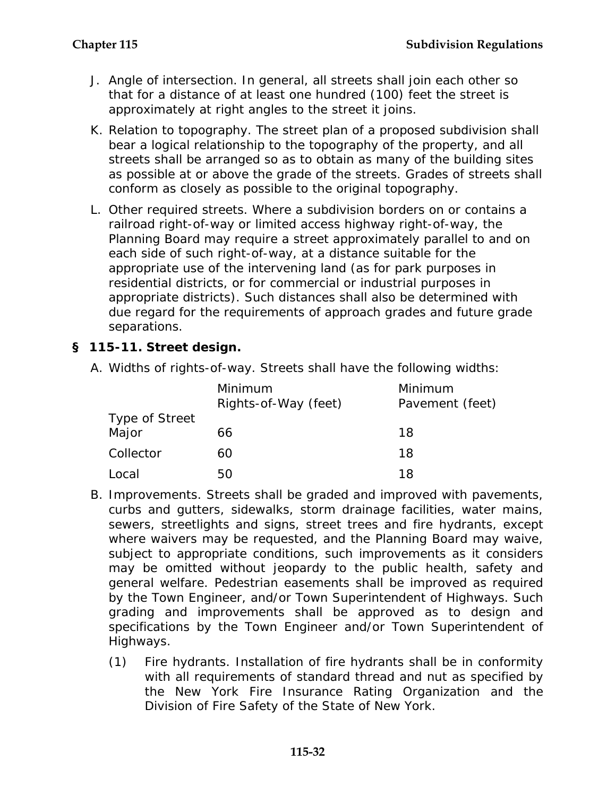- J. Angle of intersection. In general, all streets shall join each other so that for a distance of at least one hundred (100) feet the street is approximately at right angles to the street it joins.
- K. Relation to topography. The street plan of a proposed subdivision shall bear a logical relationship to the topography of the property, and all streets shall be arranged so as to obtain as many of the building sites as possible at or above the grade of the streets. Grades of streets shall conform as closely as possible to the original topography.
- L. Other required streets. Where a subdivision borders on or contains a railroad right-of-way or limited access highway right-of-way, the Planning Board may require a street approximately parallel to and on each side of such right-of-way, at a distance suitable for the appropriate use of the intervening land (as for park purposes in residential districts, or for commercial or industrial purposes in appropriate districts). Such distances shall also be determined with due regard for the requirements of approach grades and future grade separations.

# **§ 115-11. Street design.**

A. Widths of rights-of-way. Streets shall have the following widths:

|                    | Minimum<br>Rights-of-Way (feet) | Minimum<br>Pavement (feet) |
|--------------------|---------------------------------|----------------------------|
| Type of Street     |                                 |                            |
| Major<br>Collector | 66<br>60                        | 18<br>18                   |
| Local              | 50                              | 18                         |

- B. Improvements. Streets shall be graded and improved with pavements, curbs and gutters, sidewalks, storm drainage facilities, water mains, sewers, streetlights and signs, street trees and fire hydrants, except where waivers may be requested, and the Planning Board may waive, subject to appropriate conditions, such improvements as it considers may be omitted without jeopardy to the public health, safety and general welfare. Pedestrian easements shall be improved as required by the Town Engineer, and/or Town Superintendent of Highways. Such grading and improvements shall be approved as to design and specifications by the Town Engineer and/or Town Superintendent of Highways.
	- (1) Fire hydrants. Installation of fire hydrants shall be in conformity with all requirements of standard thread and nut as specified by the New York Fire Insurance Rating Organization and the Division of Fire Safety of the State of New York.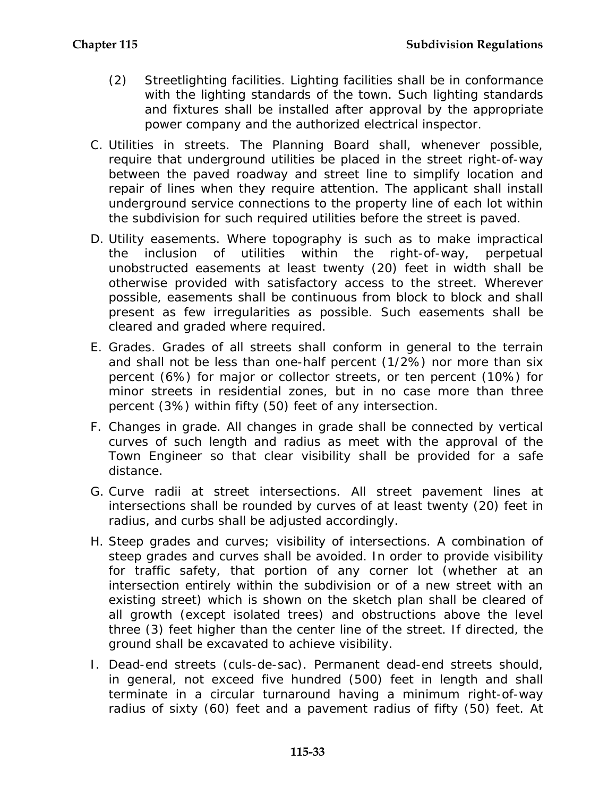- (2) Streetlighting facilities. Lighting facilities shall be in conformance with the lighting standards of the town. Such lighting standards and fixtures shall be installed after approval by the appropriate power company and the authorized electrical inspector.
- C. Utilities in streets. The Planning Board shall, whenever possible, require that underground utilities be placed in the street right-of-way between the paved roadway and street line to simplify location and repair of lines when they require attention. The applicant shall install underground service connections to the property line of each lot within the subdivision for such required utilities before the street is paved.
- D. Utility easements. Where topography is such as to make impractical the inclusion of utilities within the right-of-way, perpetual unobstructed easements at least twenty (20) feet in width shall be otherwise provided with satisfactory access to the street. Wherever possible, easements shall be continuous from block to block and shall present as few irregularities as possible. Such easements shall be cleared and graded where required.
- E. Grades. Grades of all streets shall conform in general to the terrain and shall not be less than one-half percent (1/2%) nor more than six percent (6%) for major or collector streets, or ten percent (10%) for minor streets in residential zones, but in no case more than three percent (3%) within fifty (50) feet of any intersection.
- F. Changes in grade. All changes in grade shall be connected by vertical curves of such length and radius as meet with the approval of the Town Engineer so that clear visibility shall be provided for a safe distance.
- G. Curve radii at street intersections. All street pavement lines at intersections shall be rounded by curves of at least twenty (20) feet in radius, and curbs shall be adjusted accordingly.
- H. Steep grades and curves; visibility of intersections. A combination of steep grades and curves shall be avoided. In order to provide visibility for traffic safety, that portion of any corner lot (whether at an intersection entirely within the subdivision or of a new street with an existing street) which is shown on the sketch plan shall be cleared of all growth (except isolated trees) and obstructions above the level three (3) feet higher than the center line of the street. If directed, the ground shall be excavated to achieve visibility.
- I. Dead-end streets (culs-de-sac). Permanent dead-end streets should, in general, not exceed five hundred (500) feet in length and shall terminate in a circular turnaround having a minimum right-of-way radius of sixty (60) feet and a pavement radius of fifty (50) feet. At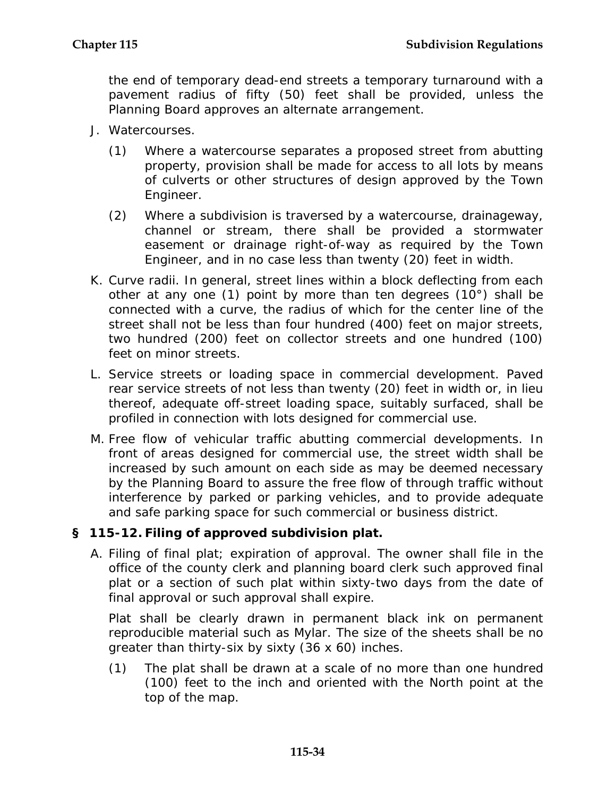the end of temporary dead-end streets a temporary turnaround with a pavement radius of fifty (50) feet shall be provided, unless the Planning Board approves an alternate arrangement.

- J. Watercourses.
	- (1) Where a watercourse separates a proposed street from abutting property, provision shall be made for access to all lots by means of culverts or other structures of design approved by the Town Engineer.
	- (2) Where a subdivision is traversed by a watercourse, drainageway, channel or stream, there shall be provided a stormwater easement or drainage right-of-way as required by the Town Engineer, and in no case less than twenty (20) feet in width.
- K. Curve radii. In general, street lines within a block deflecting from each other at any one (1) point by more than ten degrees (10°) shall be connected with a curve, the radius of which for the center line of the street shall not be less than four hundred (400) feet on major streets, two hundred (200) feet on collector streets and one hundred (100) feet on minor streets.
- L. Service streets or loading space in commercial development. Paved rear service streets of not less than twenty (20) feet in width or, in lieu thereof, adequate off-street loading space, suitably surfaced, shall be profiled in connection with lots designed for commercial use.
- M. Free flow of vehicular traffic abutting commercial developments. In front of areas designed for commercial use, the street width shall be increased by such amount on each side as may be deemed necessary by the Planning Board to assure the free flow of through traffic without interference by parked or parking vehicles, and to provide adequate and safe parking space for such commercial or business district.

# **§ 115-12. Filing of approved subdivision plat.**

A. Filing of final plat; expiration of approval. The owner shall file in the office of the county clerk and planning board clerk such approved final plat or a section of such plat within sixty-two days from the date of final approval or such approval shall expire.

Plat shall be clearly drawn in permanent black ink on permanent reproducible material such as Mylar. The size of the sheets shall be no greater than thirty-six by sixty (36 x 60) inches.

(1) The plat shall be drawn at a scale of no more than one hundred (100) feet to the inch and oriented with the North point at the top of the map.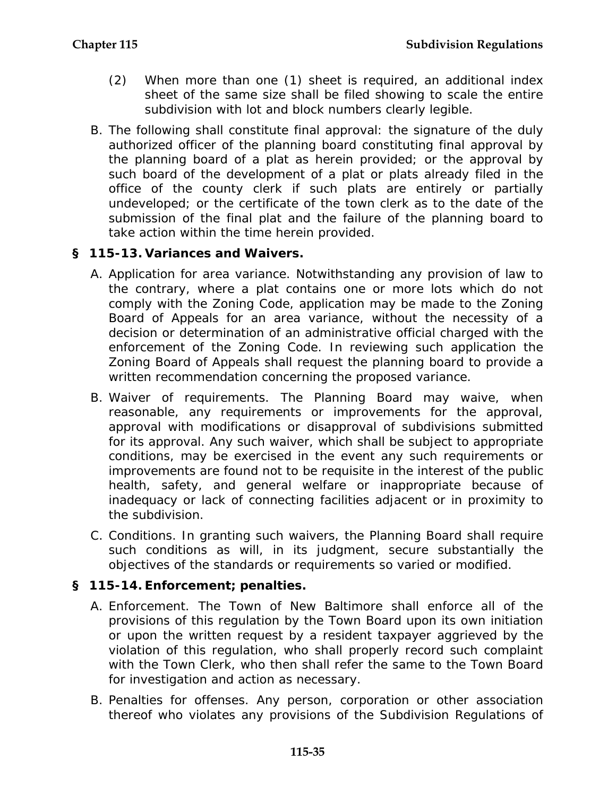- (2) When more than one (1) sheet is required, an additional index sheet of the same size shall be filed showing to scale the entire subdivision with lot and block numbers clearly legible.
- B. The following shall constitute final approval: the signature of the duly authorized officer of the planning board constituting final approval by the planning board of a plat as herein provided; or the approval by such board of the development of a plat or plats already filed in the office of the county clerk if such plats are entirely or partially undeveloped; or the certificate of the town clerk as to the date of the submission of the final plat and the failure of the planning board to take action within the time herein provided.

## **§ 115-13. Variances and Waivers.**

- A. Application for area variance. Notwithstanding any provision of law to the contrary, where a plat contains one or more lots which do not comply with the Zoning Code, application may be made to the Zoning Board of Appeals for an area variance, without the necessity of a decision or determination of an administrative official charged with the enforcement of the Zoning Code. In reviewing such application the Zoning Board of Appeals shall request the planning board to provide a written recommendation concerning the proposed variance.
- B. Waiver of requirements. The Planning Board may waive, when reasonable, any requirements or improvements for the approval, approval with modifications or disapproval of subdivisions submitted for its approval. Any such waiver, which shall be subject to appropriate conditions, may be exercised in the event any such requirements or improvements are found not to be requisite in the interest of the public health, safety, and general welfare or inappropriate because of inadequacy or lack of connecting facilities adjacent or in proximity to the subdivision.
- C. Conditions. In granting such waivers, the Planning Board shall require such conditions as will, in its judgment, secure substantially the objectives of the standards or requirements so varied or modified.

# **§ 115-14. Enforcement; penalties.**

- A. Enforcement. The Town of New Baltimore shall enforce all of the provisions of this regulation by the Town Board upon its own initiation or upon the written request by a resident taxpayer aggrieved by the violation of this regulation, who shall properly record such complaint with the Town Clerk, who then shall refer the same to the Town Board for investigation and action as necessary.
- B. Penalties for offenses. Any person, corporation or other association thereof who violates any provisions of the Subdivision Regulations of